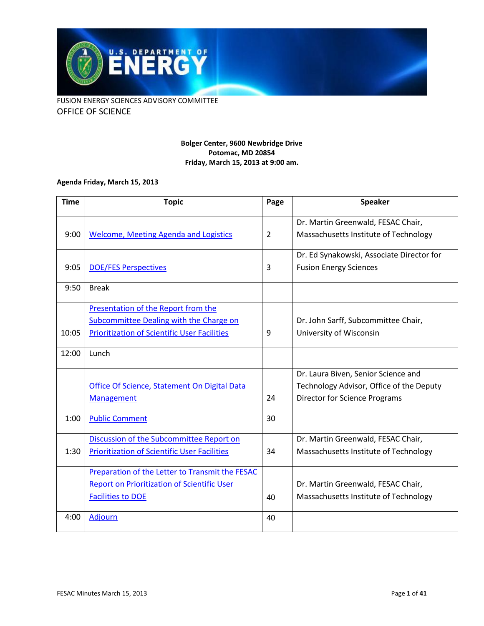

#### **Bolger Center, 9600 Newbridge Drive Potomac, MD 20854 Friday, March 15, 2013 at 9:00 am.**

#### **Agenda Friday, March 15, 2013**

| <b>Time</b> | <b>Topic</b>                                                                                                                          | Page           | <b>Speaker</b>                                                                                                          |
|-------------|---------------------------------------------------------------------------------------------------------------------------------------|----------------|-------------------------------------------------------------------------------------------------------------------------|
| 9:00        | <b>Welcome, Meeting Agenda and Logistics</b>                                                                                          | $\overline{2}$ | Dr. Martin Greenwald, FESAC Chair,<br>Massachusetts Institute of Technology                                             |
| 9:05        | <b>DOE/FES Perspectives</b>                                                                                                           | 3              | Dr. Ed Synakowski, Associate Director for<br><b>Fusion Energy Sciences</b>                                              |
| 9:50        | <b>Break</b>                                                                                                                          |                |                                                                                                                         |
| 10:05       | Presentation of the Report from the<br>Subcommittee Dealing with the Charge on<br><b>Prioritization of Scientific User Facilities</b> | 9              | Dr. John Sarff, Subcommittee Chair,<br>University of Wisconsin                                                          |
| 12:00       | Lunch                                                                                                                                 |                |                                                                                                                         |
|             | Office Of Science, Statement On Digital Data<br><b>Management</b>                                                                     | 24             | Dr. Laura Biven, Senior Science and<br>Technology Advisor, Office of the Deputy<br><b>Director for Science Programs</b> |
| 1:00        | <b>Public Comment</b>                                                                                                                 | 30             |                                                                                                                         |
| 1:30        | Discussion of the Subcommittee Report on<br><b>Prioritization of Scientific User Facilities</b>                                       | 34             | Dr. Martin Greenwald, FESAC Chair,<br>Massachusetts Institute of Technology                                             |
|             | Preparation of the Letter to Transmit the FESAC<br><b>Report on Prioritization of Scientific User</b><br><b>Facilities to DOE</b>     | 40             | Dr. Martin Greenwald, FESAC Chair,<br>Massachusetts Institute of Technology                                             |
| 4:00        | Adjourn                                                                                                                               | 40             |                                                                                                                         |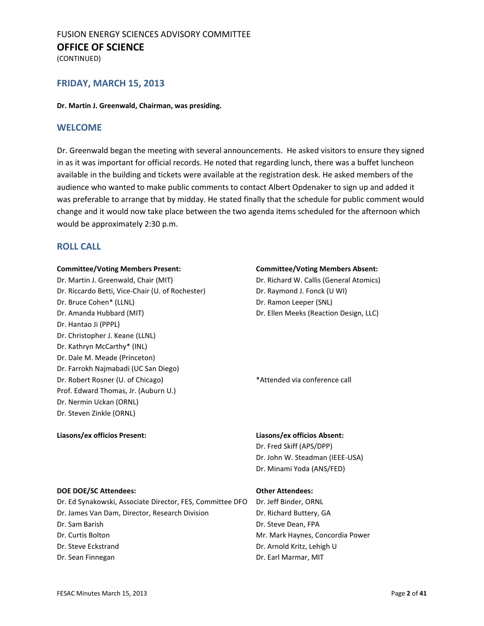(CONTINUED)

#### **FRIDAY, MARCH 15, 2013**

#### **Dr. Martin J. Greenwald, Chairman, was presiding.**

#### <span id="page-1-0"></span>**WELCOME**

Dr. Greenwald began the meeting with several announcements. He asked visitors to ensure they signed in as it was important for official records. He noted that regarding lunch, there was a buffet luncheon available in the building and tickets were available at the registration desk. He asked members of the audience who wanted to make public comments to contact Albert Opdenaker to sign up and added it was preferable to arrange that by midday. He stated finally that the schedule for public comment would change and it would now take place between the two agenda items scheduled for the afternoon which would be approximately 2:30 p.m.

#### **ROLL CALL**

#### **Committee/Voting Members Present: Committee/Voting Members Absent:**

Dr. Martin J. Greenwald, Chair (MIT) Dr. Richard W. Callis (General Atomics) Dr. Riccardo Betti, Vice-Chair (U. of Rochester) Dr. Raymond J. Fonck (U WI) Dr. Bruce Cohen\* (LLNL) Dr. Ramon Leeper (SNL) Dr. Amanda Hubbard (MIT) Dr. Ellen Meeks (Reaction Design, LLC) Dr. Hantao Ji (PPPL) Dr. Christopher J. Keane (LLNL) Dr. Kathryn McCarthy\* (INL) Dr. Dale M. Meade (Princeton) Dr. Farrokh Najmabadi (UC San Diego) Dr. Robert Rosner (U. of Chicago) **\***Attended via conference call Prof. Edward Thomas, Jr. (Auburn U.) Dr. Nermin Uckan (ORNL) Dr. Steven Zinkle (ORNL)

#### **Liasons/ex officios Present: Liasons/ex officios Absent:**

Dr. Fred Skiff (APS/DPP) Dr. John W. Steadman (IEEE-USA) Dr. Minami Yoda (ANS/FED)

#### **DOE DOE/SC Attendees: Other Attendees:**

- Dr. Ed Synakowski, Associate Director, FES, Committee DFO Dr. Jeff Binder, ORNL
- Dr. James Van Dam, Director, Research Division Dr. Richard Buttery, GA
- 
- 
- 
- 

Dr. Sam Barish Dr. Steve Dean, FPA Dr. Curtis Bolton Mr. Mark Haynes, Concordia Power Dr. Steve Eckstrand **Dr. Arnold Kritz, Lehigh U** Dr. Sean Finnegan Dr. Earl Marmar, MIT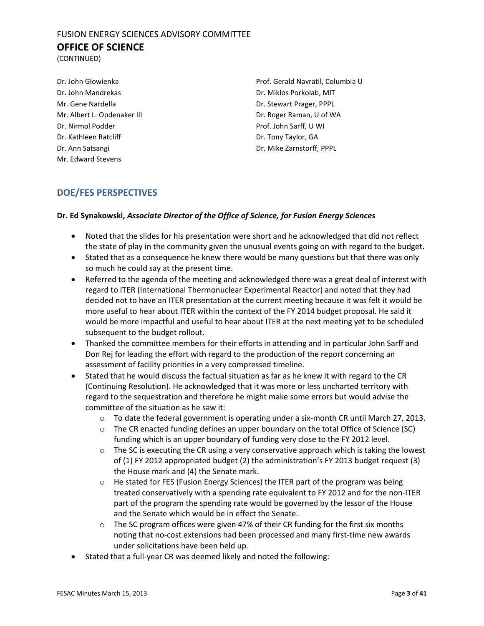(CONTINUED)

Dr. John Mandrekas Dr. Miklos Porkolab, MIT Mr. Gene Nardella Dr. Stewart Prager, PPPL Dr. Nirmol Podder Prof. John Sarff, U WI Dr. Kathleen Ratcliff **Dr. Tony Taylor, GA** Dr. Ann Satsangi Dr. Mike Zarnstorff, PPPL Mr. Edward Stevens

Dr. John Glowienka Prof. Gerald Navratil, Columbia U Mr. Albert L. Opdenaker III Dr. Roger Raman, U of WA

### <span id="page-2-0"></span>**DOE/FES PERSPECTIVES**

#### **Dr. Ed Synakowski,** *Associate Director of the Office of Science, for Fusion Energy Sciences*

- Noted that the slides for his presentation were short and he acknowledged that did not reflect the state of play in the community given the unusual events going on with regard to the budget.
- Stated that as a consequence he knew there would be many questions but that there was only so much he could say at the present time.
- Referred to the agenda of the meeting and acknowledged there was a great deal of interest with regard to ITER (International Thermonuclear Experimental Reactor) and noted that they had decided not to have an ITER presentation at the current meeting because it was felt it would be more useful to hear about ITER within the context of the FY 2014 budget proposal. He said it would be more impactful and useful to hear about ITER at the next meeting yet to be scheduled subsequent to the budget rollout.
- Thanked the committee members for their efforts in attending and in particular John Sarff and Don Rej for leading the effort with regard to the production of the report concerning an assessment of facility priorities in a very compressed timeline.
- Stated that he would discuss the factual situation as far as he knew it with regard to the CR (Continuing Resolution). He acknowledged that it was more or less uncharted territory with regard to the sequestration and therefore he might make some errors but would advise the committee of the situation as he saw it:
	- $\circ$  To date the federal government is operating under a six-month CR until March 27, 2013.
	- o The CR enacted funding defines an upper boundary on the total Office of Science (SC) funding which is an upper boundary of funding very close to the FY 2012 level.
	- $\circ$  The SC is executing the CR using a very conservative approach which is taking the lowest of (1) FY 2012 appropriated budget (2) the administration's FY 2013 budget request (3) the House mark and (4) the Senate mark.
	- o He stated for FES (Fusion Energy Sciences) the ITER part of the program was being treated conservatively with a spending rate equivalent to FY 2012 and for the non-ITER part of the program the spending rate would be governed by the lessor of the House and the Senate which would be in effect the Senate.
	- $\circ$  The SC program offices were given 47% of their CR funding for the first six months noting that no-cost extensions had been processed and many first-time new awards under solicitations have been held up.
- Stated that a full-year CR was deemed likely and noted the following: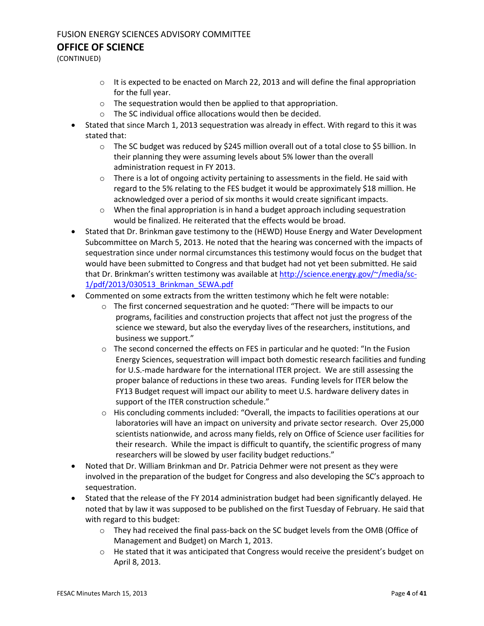## FUSION ENERGY SCIENCES ADVISORY COMMITTEE

#### **OFFICE OF SCIENCE**

(CONTINUED)

- $\circ$  It is expected to be enacted on March 22, 2013 and will define the final appropriation for the full year.
- o The sequestration would then be applied to that appropriation.
- o The SC individual office allocations would then be decided.
- Stated that since March 1, 2013 sequestration was already in effect. With regard to this it was stated that:
	- $\circ$  The SC budget was reduced by \$245 million overall out of a total close to \$5 billion. In their planning they were assuming levels about 5% lower than the overall administration request in FY 2013.
	- $\circ$  There is a lot of ongoing activity pertaining to assessments in the field. He said with regard to the 5% relating to the FES budget it would be approximately \$18 million. He acknowledged over a period of six months it would create significant impacts.
	- $\circ$  When the final appropriation is in hand a budget approach including sequestration would be finalized. He reiterated that the effects would be broad.
- Stated that Dr. Brinkman gave testimony to the (HEWD) House Energy and Water Development Subcommittee on March 5, 2013. He noted that the hearing was concerned with the impacts of sequestration since under normal circumstances this testimony would focus on the budget that would have been submitted to Congress and that budget had not yet been submitted. He said that Dr. Brinkman's written testimony was available a[t http://science.energy.gov/~/media/sc-](http://science.energy.gov/~/media/sc-1/pdf/2013/030513_Brinkman_SEWA.pdf)[1/pdf/2013/030513\\_Brinkman\\_SEWA.pdf](http://science.energy.gov/~/media/sc-1/pdf/2013/030513_Brinkman_SEWA.pdf)
- Commented on some extracts from the written testimony which he felt were notable:
	- $\circ$  The first concerned sequestration and he quoted: "There will be impacts to our programs, facilities and construction projects that affect not just the progress of the science we steward, but also the everyday lives of the researchers, institutions, and business we support."
	- $\circ$  The second concerned the effects on FES in particular and he quoted: "In the Fusion Energy Sciences, sequestration will impact both domestic research facilities and funding for U.S.-made hardware for the international ITER project. We are still assessing the proper balance of reductions in these two areas. Funding levels for ITER below the FY13 Budget request will impact our ability to meet U.S. hardware delivery dates in support of the ITER construction schedule."
	- $\circ$  His concluding comments included: "Overall, the impacts to facilities operations at our laboratories will have an impact on university and private sector research. Over 25,000 scientists nationwide, and across many fields, rely on Office of Science user facilities for their research. While the impact is difficult to quantify, the scientific progress of many researchers will be slowed by user facility budget reductions."
- Noted that Dr. William Brinkman and Dr. Patricia Dehmer were not present as they were involved in the preparation of the budget for Congress and also developing the SC's approach to sequestration.
- Stated that the release of the FY 2014 administration budget had been significantly delayed. He noted that by law it was supposed to be published on the first Tuesday of February. He said that with regard to this budget:
	- o They had received the final pass-back on the SC budget levels from the OMB (Office of Management and Budget) on March 1, 2013.
	- o He stated that it was anticipated that Congress would receive the president's budget on April 8, 2013.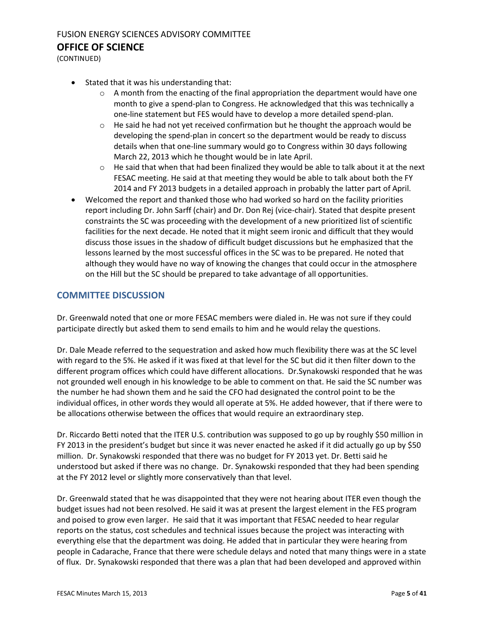(CONTINUED)

- Stated that it was his understanding that:
	- $\circ$  A month from the enacting of the final appropriation the department would have one month to give a spend-plan to Congress. He acknowledged that this was technically a one-line statement but FES would have to develop a more detailed spend-plan.
	- $\circ$  He said he had not yet received confirmation but he thought the approach would be developing the spend-plan in concert so the department would be ready to discuss details when that one-line summary would go to Congress within 30 days following March 22, 2013 which he thought would be in late April.
	- o He said that when that had been finalized they would be able to talk about it at the next FESAC meeting. He said at that meeting they would be able to talk about both the FY 2014 and FY 2013 budgets in a detailed approach in probably the latter part of April.
- Welcomed the report and thanked those who had worked so hard on the facility priorities report including Dr. John Sarff (chair) and Dr. Don Rej (vice-chair). Stated that despite present constraints the SC was proceeding with the development of a new prioritized list of scientific facilities for the next decade. He noted that it might seem ironic and difficult that they would discuss those issues in the shadow of difficult budget discussions but he emphasized that the lessons learned by the most successful offices in the SC was to be prepared. He noted that although they would have no way of knowing the changes that could occur in the atmosphere on the Hill but the SC should be prepared to take advantage of all opportunities.

#### **COMMITTEE DISCUSSION**

Dr. Greenwald noted that one or more FESAC members were dialed in. He was not sure if they could participate directly but asked them to send emails to him and he would relay the questions.

Dr. Dale Meade referred to the sequestration and asked how much flexibility there was at the SC level with regard to the 5%. He asked if it was fixed at that level for the SC but did it then filter down to the different program offices which could have different allocations. Dr.Synakowski responded that he was not grounded well enough in his knowledge to be able to comment on that. He said the SC number was the number he had shown them and he said the CFO had designated the control point to be the individual offices, in other words they would all operate at 5%. He added however, that if there were to be allocations otherwise between the offices that would require an extraordinary step.

Dr. Riccardo Betti noted that the ITER U.S. contribution was supposed to go up by roughly \$50 million in FY 2013 in the president's budget but since it was never enacted he asked if it did actually go up by \$50 million. Dr. Synakowski responded that there was no budget for FY 2013 yet. Dr. Betti said he understood but asked if there was no change. Dr. Synakowski responded that they had been spending at the FY 2012 level or slightly more conservatively than that level.

Dr. Greenwald stated that he was disappointed that they were not hearing about ITER even though the budget issues had not been resolved. He said it was at present the largest element in the FES program and poised to grow even larger. He said that it was important that FESAC needed to hear regular reports on the status, cost schedules and technical issues because the project was interacting with everything else that the department was doing. He added that in particular they were hearing from people in Cadarache, France that there were schedule delays and noted that many things were in a state of flux. Dr. Synakowski responded that there was a plan that had been developed and approved within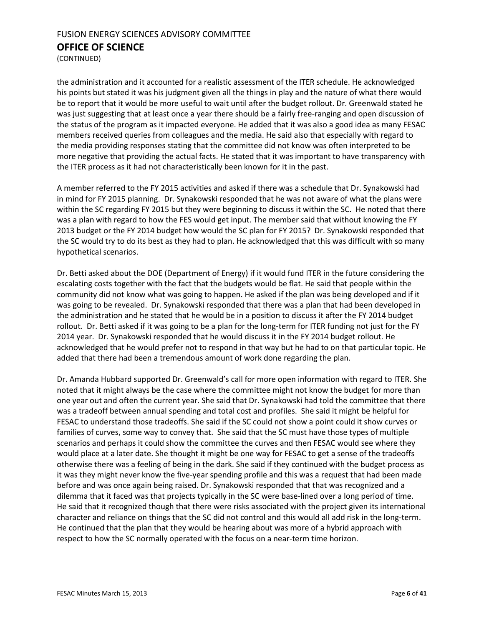(CONTINUED)

the administration and it accounted for a realistic assessment of the ITER schedule. He acknowledged his points but stated it was his judgment given all the things in play and the nature of what there would be to report that it would be more useful to wait until after the budget rollout. Dr. Greenwald stated he was just suggesting that at least once a year there should be a fairly free-ranging and open discussion of the status of the program as it impacted everyone. He added that it was also a good idea as many FESAC members received queries from colleagues and the media. He said also that especially with regard to the media providing responses stating that the committee did not know was often interpreted to be more negative that providing the actual facts. He stated that it was important to have transparency with the ITER process as it had not characteristically been known for it in the past.

A member referred to the FY 2015 activities and asked if there was a schedule that Dr. Synakowski had in mind for FY 2015 planning. Dr. Synakowski responded that he was not aware of what the plans were within the SC regarding FY 2015 but they were beginning to discuss it within the SC. He noted that there was a plan with regard to how the FES would get input. The member said that without knowing the FY 2013 budget or the FY 2014 budget how would the SC plan for FY 2015? Dr. Synakowski responded that the SC would try to do its best as they had to plan. He acknowledged that this was difficult with so many hypothetical scenarios.

Dr. Betti asked about the DOE (Department of Energy) if it would fund ITER in the future considering the escalating costs together with the fact that the budgets would be flat. He said that people within the community did not know what was going to happen. He asked if the plan was being developed and if it was going to be revealed. Dr. Synakowski responded that there was a plan that had been developed in the administration and he stated that he would be in a position to discuss it after the FY 2014 budget rollout. Dr. Betti asked if it was going to be a plan for the long-term for ITER funding not just for the FY 2014 year. Dr. Synakowski responded that he would discuss it in the FY 2014 budget rollout. He acknowledged that he would prefer not to respond in that way but he had to on that particular topic. He added that there had been a tremendous amount of work done regarding the plan.

Dr. Amanda Hubbard supported Dr. Greenwald's call for more open information with regard to ITER. She noted that it might always be the case where the committee might not know the budget for more than one year out and often the current year. She said that Dr. Synakowski had told the committee that there was a tradeoff between annual spending and total cost and profiles. She said it might be helpful for FESAC to understand those tradeoffs. She said if the SC could not show a point could it show curves or families of curves, some way to convey that. She said that the SC must have those types of multiple scenarios and perhaps it could show the committee the curves and then FESAC would see where they would place at a later date. She thought it might be one way for FESAC to get a sense of the tradeoffs otherwise there was a feeling of being in the dark. She said if they continued with the budget process as it was they might never know the five-year spending profile and this was a request that had been made before and was once again being raised. Dr. Synakowski responded that that was recognized and a dilemma that it faced was that projects typically in the SC were base-lined over a long period of time. He said that it recognized though that there were risks associated with the project given its international character and reliance on things that the SC did not control and this would all add risk in the long-term. He continued that the plan that they would be hearing about was more of a hybrid approach with respect to how the SC normally operated with the focus on a near-term time horizon.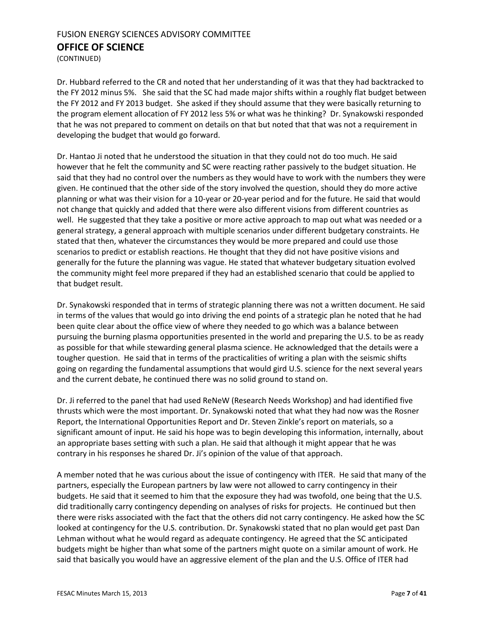(CONTINUED)

Dr. Hubbard referred to the CR and noted that her understanding of it was that they had backtracked to the FY 2012 minus 5%. She said that the SC had made major shifts within a roughly flat budget between the FY 2012 and FY 2013 budget. She asked if they should assume that they were basically returning to the program element allocation of FY 2012 less 5% or what was he thinking? Dr. Synakowski responded that he was not prepared to comment on details on that but noted that that was not a requirement in developing the budget that would go forward.

Dr. Hantao Ji noted that he understood the situation in that they could not do too much. He said however that he felt the community and SC were reacting rather passively to the budget situation. He said that they had no control over the numbers as they would have to work with the numbers they were given. He continued that the other side of the story involved the question, should they do more active planning or what was their vision for a 10-year or 20-year period and for the future. He said that would not change that quickly and added that there were also different visions from different countries as well. He suggested that they take a positive or more active approach to map out what was needed or a general strategy, a general approach with multiple scenarios under different budgetary constraints. He stated that then, whatever the circumstances they would be more prepared and could use those scenarios to predict or establish reactions. He thought that they did not have positive visions and generally for the future the planning was vague. He stated that whatever budgetary situation evolved the community might feel more prepared if they had an established scenario that could be applied to that budget result.

Dr. Synakowski responded that in terms of strategic planning there was not a written document. He said in terms of the values that would go into driving the end points of a strategic plan he noted that he had been quite clear about the office view of where they needed to go which was a balance between pursuing the burning plasma opportunities presented in the world and preparing the U.S. to be as ready as possible for that while stewarding general plasma science. He acknowledged that the details were a tougher question. He said that in terms of the practicalities of writing a plan with the seismic shifts going on regarding the fundamental assumptions that would gird U.S. science for the next several years and the current debate, he continued there was no solid ground to stand on.

Dr. Ji referred to the panel that had used ReNeW (Research Needs Workshop) and had identified five thrusts which were the most important. Dr. Synakowski noted that what they had now was the Rosner Report, the International Opportunities Report and Dr. Steven Zinkle's report on materials, so a significant amount of input. He said his hope was to begin developing this information, internally, about an appropriate bases setting with such a plan. He said that although it might appear that he was contrary in his responses he shared Dr. Ji's opinion of the value of that approach.

A member noted that he was curious about the issue of contingency with ITER. He said that many of the partners, especially the European partners by law were not allowed to carry contingency in their budgets. He said that it seemed to him that the exposure they had was twofold, one being that the U.S. did traditionally carry contingency depending on analyses of risks for projects. He continued but then there were risks associated with the fact that the others did not carry contingency. He asked how the SC looked at contingency for the U.S. contribution. Dr. Synakowski stated that no plan would get past Dan Lehman without what he would regard as adequate contingency. He agreed that the SC anticipated budgets might be higher than what some of the partners might quote on a similar amount of work. He said that basically you would have an aggressive element of the plan and the U.S. Office of ITER had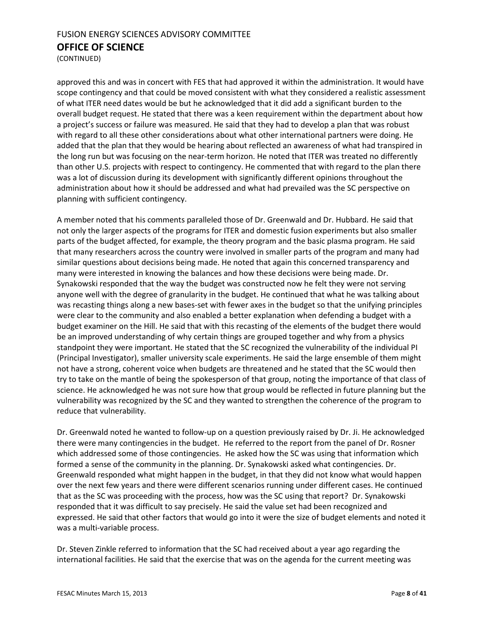(CONTINUED)

approved this and was in concert with FES that had approved it within the administration. It would have scope contingency and that could be moved consistent with what they considered a realistic assessment of what ITER need dates would be but he acknowledged that it did add a significant burden to the overall budget request. He stated that there was a keen requirement within the department about how a project's success or failure was measured. He said that they had to develop a plan that was robust with regard to all these other considerations about what other international partners were doing. He added that the plan that they would be hearing about reflected an awareness of what had transpired in the long run but was focusing on the near-term horizon. He noted that ITER was treated no differently than other U.S. projects with respect to contingency. He commented that with regard to the plan there was a lot of discussion during its development with significantly different opinions throughout the administration about how it should be addressed and what had prevailed was the SC perspective on planning with sufficient contingency.

A member noted that his comments paralleled those of Dr. Greenwald and Dr. Hubbard. He said that not only the larger aspects of the programs for ITER and domestic fusion experiments but also smaller parts of the budget affected, for example, the theory program and the basic plasma program. He said that many researchers across the country were involved in smaller parts of the program and many had similar questions about decisions being made. He noted that again this concerned transparency and many were interested in knowing the balances and how these decisions were being made. Dr. Synakowski responded that the way the budget was constructed now he felt they were not serving anyone well with the degree of granularity in the budget. He continued that what he was talking about was recasting things along a new bases-set with fewer axes in the budget so that the unifying principles were clear to the community and also enabled a better explanation when defending a budget with a budget examiner on the Hill. He said that with this recasting of the elements of the budget there would be an improved understanding of why certain things are grouped together and why from a physics standpoint they were important. He stated that the SC recognized the vulnerability of the individual PI (Principal Investigator), smaller university scale experiments. He said the large ensemble of them might not have a strong, coherent voice when budgets are threatened and he stated that the SC would then try to take on the mantle of being the spokesperson of that group, noting the importance of that class of science. He acknowledged he was not sure how that group would be reflected in future planning but the vulnerability was recognized by the SC and they wanted to strengthen the coherence of the program to reduce that vulnerability.

Dr. Greenwald noted he wanted to follow-up on a question previously raised by Dr. Ji. He acknowledged there were many contingencies in the budget. He referred to the report from the panel of Dr. Rosner which addressed some of those contingencies. He asked how the SC was using that information which formed a sense of the community in the planning. Dr. Synakowski asked what contingencies. Dr. Greenwald responded what might happen in the budget, in that they did not know what would happen over the next few years and there were different scenarios running under different cases. He continued that as the SC was proceeding with the process, how was the SC using that report? Dr. Synakowski responded that it was difficult to say precisely. He said the value set had been recognized and expressed. He said that other factors that would go into it were the size of budget elements and noted it was a multi-variable process.

Dr. Steven Zinkle referred to information that the SC had received about a year ago regarding the international facilities. He said that the exercise that was on the agenda for the current meeting was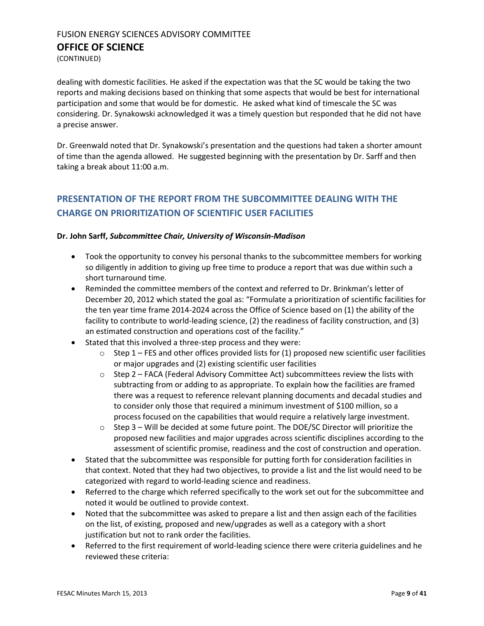(CONTINUED)

dealing with domestic facilities. He asked if the expectation was that the SC would be taking the two reports and making decisions based on thinking that some aspects that would be best for international participation and some that would be for domestic. He asked what kind of timescale the SC was considering. Dr. Synakowski acknowledged it was a timely question but responded that he did not have a precise answer.

Dr. Greenwald noted that Dr. Synakowski's presentation and the questions had taken a shorter amount of time than the agenda allowed. He suggested beginning with the presentation by Dr. Sarff and then taking a break about 11:00 a.m.

## <span id="page-8-0"></span>**PRESENTATION OF THE REPORT FROM THE SUBCOMMITTEE DEALING WITH THE CHARGE ON PRIORITIZATION OF SCIENTIFIC USER FACILITIES**

#### **Dr. John Sarff,** *Subcommittee Chair, University of Wisconsin-Madison*

- Took the opportunity to convey his personal thanks to the subcommittee members for working so diligently in addition to giving up free time to produce a report that was due within such a short turnaround time.
- Reminded the committee members of the context and referred to Dr. Brinkman's letter of December 20, 2012 which stated the goal as: "Formulate a prioritization of scientific facilities for the ten year time frame 2014-2024 across the Office of Science based on (1) the ability of the facility to contribute to world-leading science, (2) the readiness of facility construction, and (3) an estimated construction and operations cost of the facility."
- Stated that this involved a three-step process and they were:
	- $\circ$  Step 1 FES and other offices provided lists for (1) proposed new scientific user facilities or major upgrades and (2) existing scientific user facilities
	- $\circ$  Step 2 FACA (Federal Advisory Committee Act) subcommittees review the lists with subtracting from or adding to as appropriate. To explain how the facilities are framed there was a request to reference relevant planning documents and decadal studies and to consider only those that required a minimum investment of \$100 million, so a process focused on the capabilities that would require a relatively large investment.
	- $\circ$  Step 3 Will be decided at some future point. The DOE/SC Director will prioritize the proposed new facilities and major upgrades across scientific disciplines according to the assessment of scientific promise, readiness and the cost of construction and operation.
- Stated that the subcommittee was responsible for putting forth for consideration facilities in that context. Noted that they had two objectives, to provide a list and the list would need to be categorized with regard to world-leading science and readiness.
- Referred to the charge which referred specifically to the work set out for the subcommittee and noted it would be outlined to provide context.
- Noted that the subcommittee was asked to prepare a list and then assign each of the facilities on the list, of existing, proposed and new/upgrades as well as a category with a short justification but not to rank order the facilities.
- Referred to the first requirement of world-leading science there were criteria guidelines and he reviewed these criteria: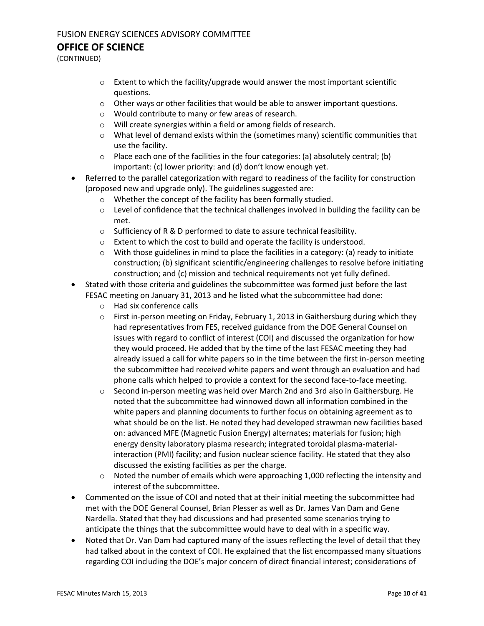# FUSION ENERGY SCIENCES ADVISORY COMMITTEE

## **OFFICE OF SCIENCE**

(CONTINUED)

- $\circ$  Extent to which the facility/upgrade would answer the most important scientific questions.
- o Other ways or other facilities that would be able to answer important questions.
- o Would contribute to many or few areas of research.
- o Will create synergies within a field or among fields of research.
- $\circ$  What level of demand exists within the (sometimes many) scientific communities that use the facility.
- $\circ$  Place each one of the facilities in the four categories: (a) absolutely central; (b) important: (c) lower priority: and (d) don't know enough yet.
- Referred to the parallel categorization with regard to readiness of the facility for construction (proposed new and upgrade only). The guidelines suggested are:
	- o Whether the concept of the facility has been formally studied.
	- $\circ$  Level of confidence that the technical challenges involved in building the facility can be met.
	- o Sufficiency of R & D performed to date to assure technical feasibility.
	- o Extent to which the cost to build and operate the facility is understood.
	- $\circ$  With those guidelines in mind to place the facilities in a category: (a) ready to initiate construction; (b) significant scientific/engineering challenges to resolve before initiating construction; and (c) mission and technical requirements not yet fully defined.
- Stated with those criteria and guidelines the subcommittee was formed just before the last FESAC meeting on January 31, 2013 and he listed what the subcommittee had done:
	- o Had six conference calls
	- $\circ$  First in-person meeting on Friday, February 1, 2013 in Gaithersburg during which they had representatives from FES, received guidance from the DOE General Counsel on issues with regard to conflict of interest (COI) and discussed the organization for how they would proceed. He added that by the time of the last FESAC meeting they had already issued a call for white papers so in the time between the first in-person meeting the subcommittee had received white papers and went through an evaluation and had phone calls which helped to provide a context for the second face-to-face meeting.
	- o Second in-person meeting was held over March 2nd and 3rd also in Gaithersburg. He noted that the subcommittee had winnowed down all information combined in the white papers and planning documents to further focus on obtaining agreement as to what should be on the list. He noted they had developed strawman new facilities based on: advanced MFE (Magnetic Fusion Energy) alternates; materials for fusion; high energy density laboratory plasma research; integrated toroidal plasma-materialinteraction (PMI) facility; and fusion nuclear science facility. He stated that they also discussed the existing facilities as per the charge.
	- $\circ$  Noted the number of emails which were approaching 1,000 reflecting the intensity and interest of the subcommittee.
- Commented on the issue of COI and noted that at their initial meeting the subcommittee had met with the DOE General Counsel, Brian Plesser as well as Dr. James Van Dam and Gene Nardella. Stated that they had discussions and had presented some scenarios trying to anticipate the things that the subcommittee would have to deal with in a specific way.
- Noted that Dr. Van Dam had captured many of the issues reflecting the level of detail that they had talked about in the context of COI. He explained that the list encompassed many situations regarding COI including the DOE's major concern of direct financial interest; considerations of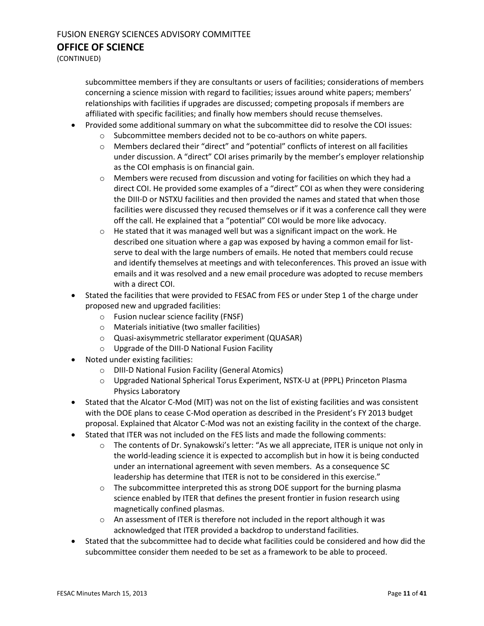(CONTINUED)

subcommittee members if they are consultants or users of facilities; considerations of members concerning a science mission with regard to facilities; issues around white papers; members' relationships with facilities if upgrades are discussed; competing proposals if members are affiliated with specific facilities; and finally how members should recuse themselves.

- Provided some additional summary on what the subcommittee did to resolve the COI issues:
	- o Subcommittee members decided not to be co-authors on white papers.
	- o Members declared their "direct" and "potential" conflicts of interest on all facilities under discussion. A "direct" COI arises primarily by the member's employer relationship as the COI emphasis is on financial gain.
	- o Members were recused from discussion and voting for facilities on which they had a direct COI. He provided some examples of a "direct" COI as when they were considering the DIII-D or NSTXU facilities and then provided the names and stated that when those facilities were discussed they recused themselves or if it was a conference call they were off the call. He explained that a "potential" COI would be more like advocacy.
	- $\circ$  He stated that it was managed well but was a significant impact on the work. He described one situation where a gap was exposed by having a common email for listserve to deal with the large numbers of emails. He noted that members could recuse and identify themselves at meetings and with teleconferences. This proved an issue with emails and it was resolved and a new email procedure was adopted to recuse members with a direct COI.
- Stated the facilities that were provided to FESAC from FES or under Step 1 of the charge under proposed new and upgraded facilities:
	- o Fusion nuclear science facility (FNSF)
	- o Materials initiative (two smaller facilities)
	- o Quasi-axisymmetric stellarator experiment (QUASAR)
	- o Upgrade of the DIII-D National Fusion Facility
- Noted under existing facilities:
	- o DIII-D National Fusion Facility (General Atomics)
	- o Upgraded National Spherical Torus Experiment, NSTX-U at (PPPL) Princeton Plasma Physics Laboratory
- Stated that the Alcator C-Mod (MIT) was not on the list of existing facilities and was consistent with the DOE plans to cease C-Mod operation as described in the President's FY 2013 budget proposal. Explained that Alcator C-Mod was not an existing facility in the context of the charge.
- Stated that ITER was not included on the FES lists and made the following comments:
	- $\circ$  The contents of Dr. Synakowski's letter: "As we all appreciate, ITER is unique not only in the world-leading science it is expected to accomplish but in how it is being conducted under an international agreement with seven members. As a consequence SC leadership has determine that ITER is not to be considered in this exercise."
	- $\circ$  The subcommittee interpreted this as strong DOE support for the burning plasma science enabled by ITER that defines the present frontier in fusion research using magnetically confined plasmas.
	- $\circ$  An assessment of ITER is therefore not included in the report although it was acknowledged that ITER provided a backdrop to understand facilities.
- Stated that the subcommittee had to decide what facilities could be considered and how did the subcommittee consider them needed to be set as a framework to be able to proceed.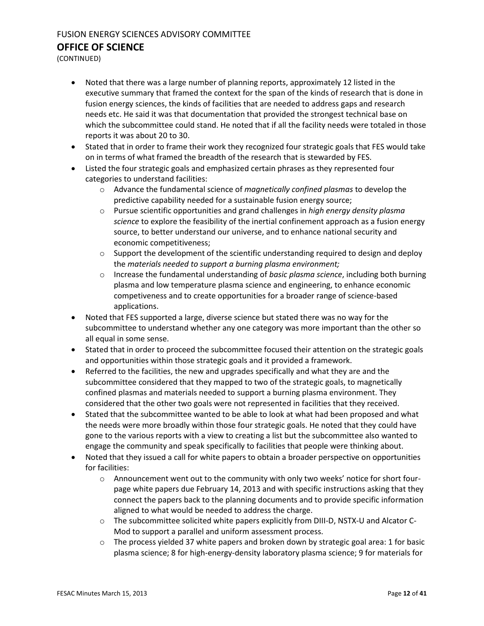(CONTINUED)

- Noted that there was a large number of planning reports, approximately 12 listed in the executive summary that framed the context for the span of the kinds of research that is done in fusion energy sciences, the kinds of facilities that are needed to address gaps and research needs etc. He said it was that documentation that provided the strongest technical base on which the subcommittee could stand. He noted that if all the facility needs were totaled in those reports it was about 20 to 30.
- Stated that in order to frame their work they recognized four strategic goals that FES would take on in terms of what framed the breadth of the research that is stewarded by FES.
- Listed the four strategic goals and emphasized certain phrases as they represented four categories to understand facilities:
	- o Advance the fundamental science of *magnetically confined plasmas* to develop the predictive capability needed for a sustainable fusion energy source;
	- o Pursue scientific opportunities and grand challenges in *high energy density plasma science* to explore the feasibility of the inertial confinement approach as a fusion energy source, to better understand our universe, and to enhance national security and economic competitiveness;
	- $\circ$  Support the development of the scientific understanding required to design and deploy the *materials needed to support a burning plasma environment;*
	- o Increase the fundamental understanding of *basic plasma science*, including both burning plasma and low temperature plasma science and engineering, to enhance economic competiveness and to create opportunities for a broader range of science-based applications.
- Noted that FES supported a large, diverse science but stated there was no way for the subcommittee to understand whether any one category was more important than the other so all equal in some sense.
- Stated that in order to proceed the subcommittee focused their attention on the strategic goals and opportunities within those strategic goals and it provided a framework.
- Referred to the facilities, the new and upgrades specifically and what they are and the subcommittee considered that they mapped to two of the strategic goals, to magnetically confined plasmas and materials needed to support a burning plasma environment. They considered that the other two goals were not represented in facilities that they received.
- Stated that the subcommittee wanted to be able to look at what had been proposed and what the needs were more broadly within those four strategic goals. He noted that they could have gone to the various reports with a view to creating a list but the subcommittee also wanted to engage the community and speak specifically to facilities that people were thinking about.
- Noted that they issued a call for white papers to obtain a broader perspective on opportunities for facilities:
	- o Announcement went out to the community with only two weeks' notice for short fourpage white papers due February 14, 2013 and with specific instructions asking that they connect the papers back to the planning documents and to provide specific information aligned to what would be needed to address the charge.
	- o The subcommittee solicited white papers explicitly from DIII-D, NSTX-U and Alcator C-Mod to support a parallel and uniform assessment process.
	- $\circ$  The process yielded 37 white papers and broken down by strategic goal area: 1 for basic plasma science; 8 for high-energy-density laboratory plasma science; 9 for materials for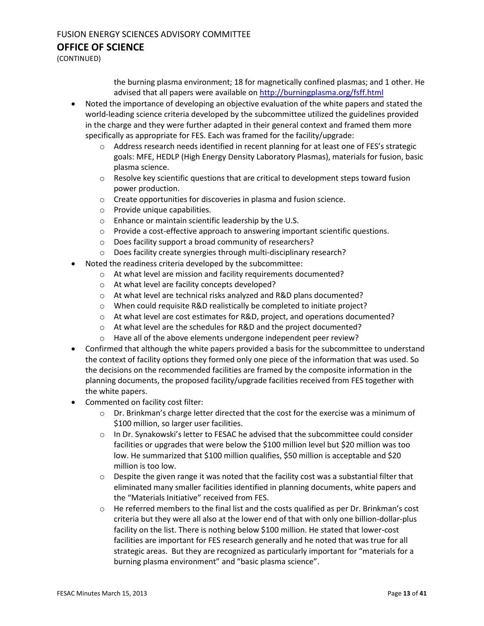# FUSION ENERGY SCIENCES ADVISORY COMMITTEE

**OFFICE OF SCIENCE**

(CONTINUED)

the burning plasma environment; 18 for magnetically confined plasmas; and 1 other. He advised that all papers were available o[n http://burningplasma.org/fsff.html](http://burningplasma.org/fsff.html)

- Noted the importance of developing an objective evaluation of the white papers and stated the world-leading science criteria developed by the subcommittee utilized the guidelines provided in the charge and they were further adapted in their general context and framed them more specifically as appropriate for FES. Each was framed for the facility/upgrade:
	- o Address research needs identified in recent planning for at least one of FES's strategic goals: MFE, HEDLP (High Energy Density Laboratory Plasmas), materials for fusion, basic plasma science.
	- $\circ$  Resolve key scientific questions that are critical to development steps toward fusion power production.
	- o Create opportunities for discoveries in plasma and fusion science.
	- o Provide unique capabilities.
	- o Enhance or maintain scientific leadership by the U.S.
	- $\circ$  Provide a cost-effective approach to answering important scientific questions.
	- o Does facility support a broad community of researchers?
	- o Does facility create synergies through multi-disciplinary research?
- Noted the readiness criteria developed by the subcommittee:
	- o At what level are mission and facility requirements documented?
	- o At what level are facility concepts developed?
	- o At what level are technical risks analyzed and R&D plans documented?
	- o When could requisite R&D realistically be completed to initiate project?
	- $\circ$  At what level are cost estimates for R&D, project, and operations documented?
	- o At what level are the schedules for R&D and the project documented?
	- o Have all of the above elements undergone independent peer review?
- Confirmed that although the white papers provided a basis for the subcommittee to understand the context of facility options they formed only one piece of the information that was used. So the decisions on the recommended facilities are framed by the composite information in the planning documents, the proposed facility/upgrade facilities received from FES together with the white papers.
- Commented on facility cost filter:
	- $\circ$  Dr. Brinkman's charge letter directed that the cost for the exercise was a minimum of \$100 million, so larger user facilities.
	- o In Dr. Synakowski's letter to FESAC he advised that the subcommittee could consider facilities or upgrades that were below the \$100 million level but \$20 million was too low. He summarized that \$100 million qualifies, \$50 million is acceptable and \$20 million is too low.
	- $\circ$  Despite the given range it was noted that the facility cost was a substantial filter that eliminated many smaller facilities identified in planning documents, white papers and the "Materials Initiative" received from FES.
	- $\circ$  He referred members to the final list and the costs qualified as per Dr. Brinkman's cost criteria but they were all also at the lower end of that with only one billion-dollar-plus facility on the list. There is nothing below \$100 million. He stated that lower-cost facilities are important for FES research generally and he noted that was true for all strategic areas. But they are recognized as particularly important for "materials for a burning plasma environment" and "basic plasma science".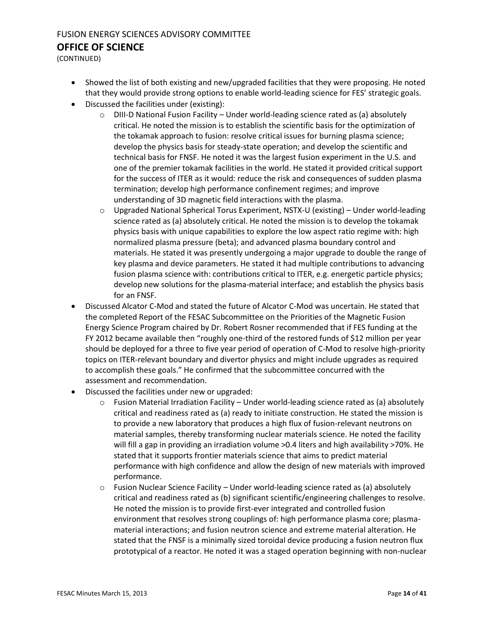(CONTINUED)

- Showed the list of both existing and new/upgraded facilities that they were proposing. He noted that they would provide strong options to enable world-leading science for FES' strategic goals.
- Discussed the facilities under (existing):
	- $\circ$  DIII-D National Fusion Facility Under world-leading science rated as (a) absolutely critical. He noted the mission is to establish the scientific basis for the optimization of the tokamak approach to fusion: resolve critical issues for burning plasma science; develop the physics basis for steady-state operation; and develop the scientific and technical basis for FNSF. He noted it was the largest fusion experiment in the U.S. and one of the premier tokamak facilities in the world. He stated it provided critical support for the success of ITER as it would: reduce the risk and consequences of sudden plasma termination; develop high performance confinement regimes; and improve understanding of 3D magnetic field interactions with the plasma.
	- $\circ$  Upgraded National Spherical Torus Experiment, NSTX-U (existing) Under world-leading science rated as (a) absolutely critical. He noted the mission is to develop the tokamak physics basis with unique capabilities to explore the low aspect ratio regime with: high normalized plasma pressure (beta); and advanced plasma boundary control and materials. He stated it was presently undergoing a major upgrade to double the range of key plasma and device parameters. He stated it had multiple contributions to advancing fusion plasma science with: contributions critical to ITER, e.g. energetic particle physics; develop new solutions for the plasma-material interface; and establish the physics basis for an FNSF.
- Discussed Alcator C-Mod and stated the future of Alcator C-Mod was uncertain. He stated that the completed Report of the FESAC Subcommittee on the Priorities of the Magnetic Fusion Energy Science Program chaired by Dr. Robert Rosner recommended that if FES funding at the FY 2012 became available then "roughly one-third of the restored funds of \$12 million per year should be deployed for a three to five year period of operation of C-Mod to resolve high-priority topics on ITER-relevant boundary and divertor physics and might include upgrades as required to accomplish these goals." He confirmed that the subcommittee concurred with the assessment and recommendation.
- Discussed the facilities under new or upgraded:
	- $\circ$  Fusion Material Irradiation Facility Under world-leading science rated as (a) absolutely critical and readiness rated as (a) ready to initiate construction. He stated the mission is to provide a new laboratory that produces a high flux of fusion-relevant neutrons on material samples, thereby transforming nuclear materials science. He noted the facility will fill a gap in providing an irradiation volume >0.4 liters and high availability >70%. He stated that it supports frontier materials science that aims to predict material performance with high confidence and allow the design of new materials with improved performance.
	- $\circ$  Fusion Nuclear Science Facility Under world-leading science rated as (a) absolutely critical and readiness rated as (b) significant scientific/engineering challenges to resolve. He noted the mission is to provide first-ever integrated and controlled fusion environment that resolves strong couplings of: high performance plasma core; plasmamaterial interactions; and fusion neutron science and extreme material alteration. He stated that the FNSF is a minimally sized toroidal device producing a fusion neutron flux prototypical of a reactor. He noted it was a staged operation beginning with non-nuclear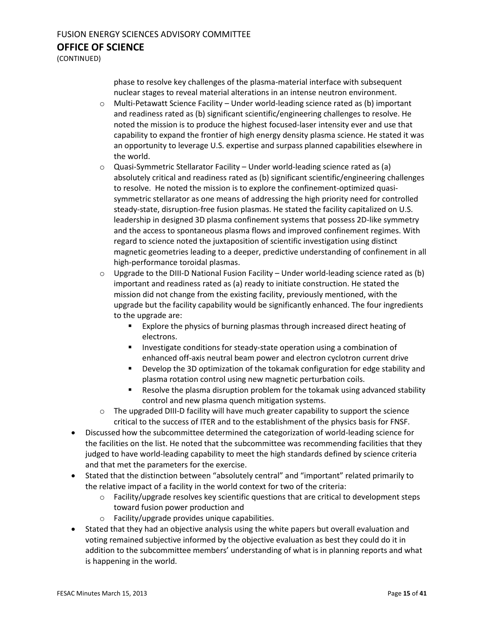(CONTINUED)

phase to resolve key challenges of the plasma-material interface with subsequent nuclear stages to reveal material alterations in an intense neutron environment.

- o Multi-Petawatt Science Facility Under world-leading science rated as (b) important and readiness rated as (b) significant scientific/engineering challenges to resolve. He noted the mission is to produce the highest focused-laser intensity ever and use that capability to expand the frontier of high energy density plasma science. He stated it was an opportunity to leverage U.S. expertise and surpass planned capabilities elsewhere in the world.
- $\circ$  Quasi-Symmetric Stellarator Facility Under world-leading science rated as (a) absolutely critical and readiness rated as (b) significant scientific/engineering challenges to resolve. He noted the mission is to explore the confinement-optimized quasisymmetric stellarator as one means of addressing the high priority need for controlled steady-state, disruption-free fusion plasmas. He stated the facility capitalized on U.S. leadership in designed 3D plasma confinement systems that possess 2D-like symmetry and the access to spontaneous plasma flows and improved confinement regimes. With regard to science noted the juxtaposition of scientific investigation using distinct magnetic geometries leading to a deeper, predictive understanding of confinement in all high-performance toroidal plasmas.
- $\circ$  Upgrade to the DIII-D National Fusion Facility Under world-leading science rated as (b) important and readiness rated as (a) ready to initiate construction. He stated the mission did not change from the existing facility, previously mentioned, with the upgrade but the facility capability would be significantly enhanced. The four ingredients to the upgrade are:
	- **Explore the physics of burning plasmas through increased direct heating of** electrons.
	- **Investigate conditions for steady-state operation using a combination of** enhanced off-axis neutral beam power and electron cyclotron current drive
	- Develop the 3D optimization of the tokamak configuration for edge stability and plasma rotation control using new magnetic perturbation coils.
	- Resolve the plasma disruption problem for the tokamak using advanced stability control and new plasma quench mitigation systems.
- $\circ$  The upgraded DIII-D facility will have much greater capability to support the science critical to the success of ITER and to the establishment of the physics basis for FNSF.
- Discussed how the subcommittee determined the categorization of world-leading science for the facilities on the list. He noted that the subcommittee was recommending facilities that they judged to have world-leading capability to meet the high standards defined by science criteria and that met the parameters for the exercise.
- Stated that the distinction between "absolutely central" and "important" related primarily to the relative impact of a facility in the world context for two of the criteria:
	- $\circ$  Facility/upgrade resolves key scientific questions that are critical to development steps toward fusion power production and
	- o Facility/upgrade provides unique capabilities.
- Stated that they had an objective analysis using the white papers but overall evaluation and voting remained subjective informed by the objective evaluation as best they could do it in addition to the subcommittee members' understanding of what is in planning reports and what is happening in the world.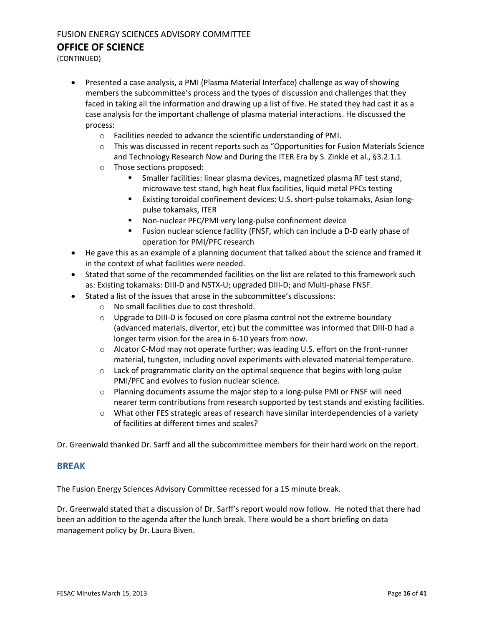(CONTINUED)

- Presented a case analysis, a PMI (Plasma Material Interface) challenge as way of showing members the subcommittee's process and the types of discussion and challenges that they faced in taking all the information and drawing up a list of five. He stated they had cast it as a case analysis for the important challenge of plasma material interactions. He discussed the process:
	- o Facilities needed to advance the scientific understanding of PMI.
	- $\circ$  This was discussed in recent reports such as "Opportunities for Fusion Materials Science and Technology Research Now and During the ITER Era by S. Zinkle et al., §3.2.1.1
	- o Those sections proposed:
		- **Smaller facilities: linear plasma devices, magnetized plasma RF test stand,** microwave test stand, high heat flux facilities, liquid metal PFCs testing
		- Existing toroidal confinement devices: U.S. short-pulse tokamaks, Asian longpulse tokamaks, ITER
		- Non-nuclear PFC/PMI very long-pulse confinement device
		- Fusion nuclear science facility (FNSF, which can include a D-D early phase of operation for PMI/PFC research
- He gave this as an example of a planning document that talked about the science and framed it in the context of what facilities were needed.
- Stated that some of the recommended facilities on the list are related to this framework such as: Existing tokamaks: DIII-D and NSTX-U; upgraded DIII-D; and Multi-phase FNSF.
- Stated a list of the issues that arose in the subcommittee's discussions:
	- o No small facilities due to cost threshold.
	- o Upgrade to DIII-D is focused on core plasma control not the extreme boundary (advanced materials, divertor, etc) but the committee was informed that DIII-D had a longer term vision for the area in 6-10 years from now.
	- $\circ$  Alcator C-Mod may not operate further; was leading U.S. effort on the front-runner material, tungsten, including novel experiments with elevated material temperature.
	- $\circ$  Lack of programmatic clarity on the optimal sequence that begins with long-pulse PMI/PFC and evolves to fusion nuclear science.
	- $\circ$  Planning documents assume the major step to a long-pulse PMI or FNSF will need nearer term contributions from research supported by test stands and existing facilities.
	- $\circ$  What other FES strategic areas of research have similar interdependencies of a variety of facilities at different times and scales?

Dr. Greenwald thanked Dr. Sarff and all the subcommittee members for their hard work on the report.

#### **BREAK**

The Fusion Energy Sciences Advisory Committee recessed for a 15 minute break.

Dr. Greenwald stated that a discussion of Dr. Sarff's report would now follow. He noted that there had been an addition to the agenda after the lunch break. There would be a short briefing on data management policy by Dr. Laura Biven.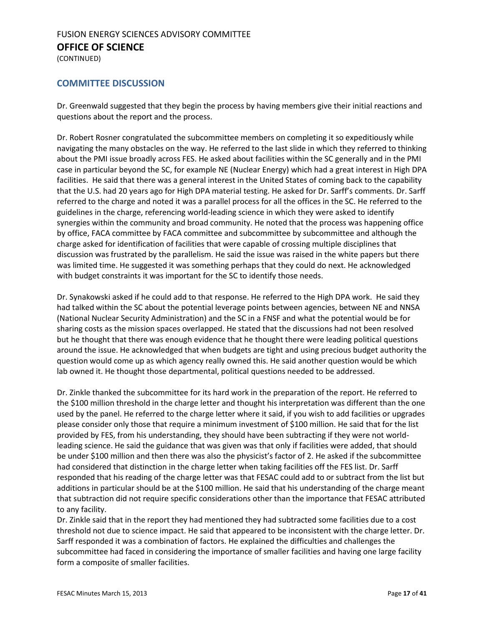(CONTINUED)

#### **COMMITTEE DISCUSSION**

Dr. Greenwald suggested that they begin the process by having members give their initial reactions and questions about the report and the process.

Dr. Robert Rosner congratulated the subcommittee members on completing it so expeditiously while navigating the many obstacles on the way. He referred to the last slide in which they referred to thinking about the PMI issue broadly across FES. He asked about facilities within the SC generally and in the PMI case in particular beyond the SC, for example NE (Nuclear Energy) which had a great interest in High DPA facilities. He said that there was a general interest in the United States of coming back to the capability that the U.S. had 20 years ago for High DPA material testing. He asked for Dr. Sarff's comments. Dr. Sarff referred to the charge and noted it was a parallel process for all the offices in the SC. He referred to the guidelines in the charge, referencing world-leading science in which they were asked to identify synergies within the community and broad community. He noted that the process was happening office by office, FACA committee by FACA committee and subcommittee by subcommittee and although the charge asked for identification of facilities that were capable of crossing multiple disciplines that discussion was frustrated by the parallelism. He said the issue was raised in the white papers but there was limited time. He suggested it was something perhaps that they could do next. He acknowledged with budget constraints it was important for the SC to identify those needs.

Dr. Synakowski asked if he could add to that response. He referred to the High DPA work. He said they had talked within the SC about the potential leverage points between agencies, between NE and NNSA (National Nuclear Security Administration) and the SC in a FNSF and what the potential would be for sharing costs as the mission spaces overlapped. He stated that the discussions had not been resolved but he thought that there was enough evidence that he thought there were leading political questions around the issue. He acknowledged that when budgets are tight and using precious budget authority the question would come up as which agency really owned this. He said another question would be which lab owned it. He thought those departmental, political questions needed to be addressed.

Dr. Zinkle thanked the subcommittee for its hard work in the preparation of the report. He referred to the \$100 million threshold in the charge letter and thought his interpretation was different than the one used by the panel. He referred to the charge letter where it said, if you wish to add facilities or upgrades please consider only those that require a minimum investment of \$100 million. He said that for the list provided by FES, from his understanding, they should have been subtracting if they were not worldleading science. He said the guidance that was given was that only if facilities were added, that should be under \$100 million and then there was also the physicist's factor of 2. He asked if the subcommittee had considered that distinction in the charge letter when taking facilities off the FES list. Dr. Sarff responded that his reading of the charge letter was that FESAC could add to or subtract from the list but additions in particular should be at the \$100 million. He said that his understanding of the charge meant that subtraction did not require specific considerations other than the importance that FESAC attributed to any facility.

Dr. Zinkle said that in the report they had mentioned they had subtracted some facilities due to a cost threshold not due to science impact. He said that appeared to be inconsistent with the charge letter. Dr. Sarff responded it was a combination of factors. He explained the difficulties and challenges the subcommittee had faced in considering the importance of smaller facilities and having one large facility form a composite of smaller facilities.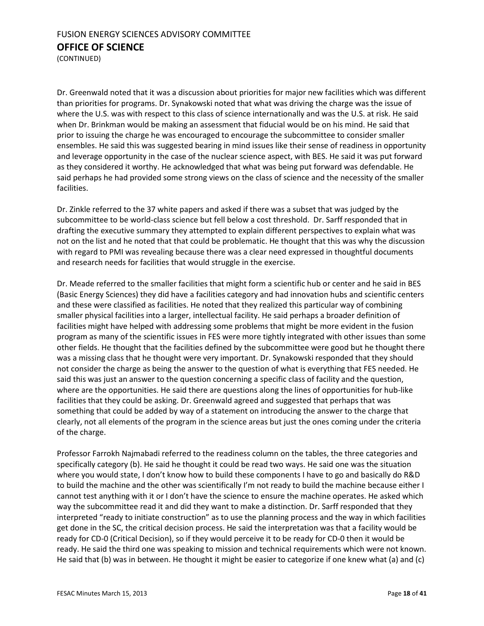(CONTINUED)

Dr. Greenwald noted that it was a discussion about priorities for major new facilities which was different than priorities for programs. Dr. Synakowski noted that what was driving the charge was the issue of where the U.S. was with respect to this class of science internationally and was the U.S. at risk. He said when Dr. Brinkman would be making an assessment that fiducial would be on his mind. He said that prior to issuing the charge he was encouraged to encourage the subcommittee to consider smaller ensembles. He said this was suggested bearing in mind issues like their sense of readiness in opportunity and leverage opportunity in the case of the nuclear science aspect, with BES. He said it was put forward as they considered it worthy. He acknowledged that what was being put forward was defendable. He said perhaps he had provided some strong views on the class of science and the necessity of the smaller facilities.

Dr. Zinkle referred to the 37 white papers and asked if there was a subset that was judged by the subcommittee to be world-class science but fell below a cost threshold. Dr. Sarff responded that in drafting the executive summary they attempted to explain different perspectives to explain what was not on the list and he noted that that could be problematic. He thought that this was why the discussion with regard to PMI was revealing because there was a clear need expressed in thoughtful documents and research needs for facilities that would struggle in the exercise.

Dr. Meade referred to the smaller facilities that might form a scientific hub or center and he said in BES (Basic Energy Sciences) they did have a facilities category and had innovation hubs and scientific centers and these were classified as facilities. He noted that they realized this particular way of combining smaller physical facilities into a larger, intellectual facility. He said perhaps a broader definition of facilities might have helped with addressing some problems that might be more evident in the fusion program as many of the scientific issues in FES were more tightly integrated with other issues than some other fields. He thought that the facilities defined by the subcommittee were good but he thought there was a missing class that he thought were very important. Dr. Synakowski responded that they should not consider the charge as being the answer to the question of what is everything that FES needed. He said this was just an answer to the question concerning a specific class of facility and the question, where are the opportunities. He said there are questions along the lines of opportunities for hub-like facilities that they could be asking. Dr. Greenwald agreed and suggested that perhaps that was something that could be added by way of a statement on introducing the answer to the charge that clearly, not all elements of the program in the science areas but just the ones coming under the criteria of the charge.

Professor Farrokh Najmabadi referred to the readiness column on the tables, the three categories and specifically category (b). He said he thought it could be read two ways. He said one was the situation where you would state, I don't know how to build these components I have to go and basically do R&D to build the machine and the other was scientifically I'm not ready to build the machine because either I cannot test anything with it or I don't have the science to ensure the machine operates. He asked which way the subcommittee read it and did they want to make a distinction. Dr. Sarff responded that they interpreted "ready to initiate construction" as to use the planning process and the way in which facilities get done in the SC, the critical decision process. He said the interpretation was that a facility would be ready for CD-0 (Critical Decision), so if they would perceive it to be ready for CD-0 then it would be ready. He said the third one was speaking to mission and technical requirements which were not known. He said that (b) was in between. He thought it might be easier to categorize if one knew what (a) and (c)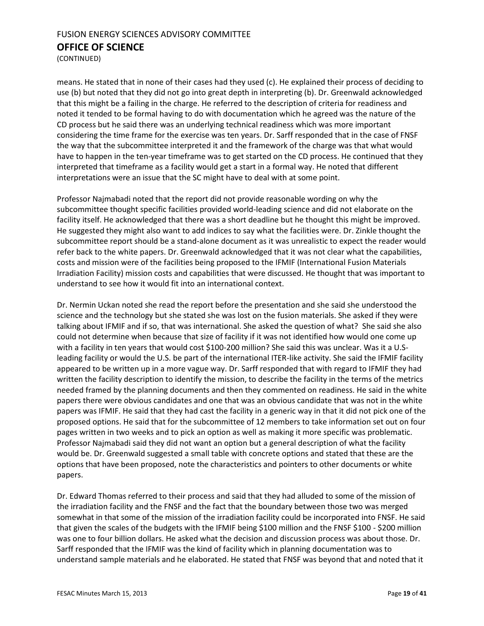(CONTINUED)

means. He stated that in none of their cases had they used (c). He explained their process of deciding to use (b) but noted that they did not go into great depth in interpreting (b). Dr. Greenwald acknowledged that this might be a failing in the charge. He referred to the description of criteria for readiness and noted it tended to be formal having to do with documentation which he agreed was the nature of the CD process but he said there was an underlying technical readiness which was more important considering the time frame for the exercise was ten years. Dr. Sarff responded that in the case of FNSF the way that the subcommittee interpreted it and the framework of the charge was that what would have to happen in the ten-year timeframe was to get started on the CD process. He continued that they interpreted that timeframe as a facility would get a start in a formal way. He noted that different interpretations were an issue that the SC might have to deal with at some point.

Professor Najmabadi noted that the report did not provide reasonable wording on why the subcommittee thought specific facilities provided world-leading science and did not elaborate on the facility itself. He acknowledged that there was a short deadline but he thought this might be improved. He suggested they might also want to add indices to say what the facilities were. Dr. Zinkle thought the subcommittee report should be a stand-alone document as it was unrealistic to expect the reader would refer back to the white papers. Dr. Greenwald acknowledged that it was not clear what the capabilities, costs and mission were of the facilities being proposed to the IFMIF (International Fusion Materials Irradiation Facility) mission costs and capabilities that were discussed. He thought that was important to understand to see how it would fit into an international context.

Dr. Nermin Uckan noted she read the report before the presentation and she said she understood the science and the technology but she stated she was lost on the fusion materials. She asked if they were talking about IFMIF and if so, that was international. She asked the question of what? She said she also could not determine when because that size of facility if it was not identified how would one come up with a facility in ten years that would cost \$100-200 million? She said this was unclear. Was it a U.Sleading facility or would the U.S. be part of the international ITER-like activity. She said the IFMIF facility appeared to be written up in a more vague way. Dr. Sarff responded that with regard to IFMIF they had written the facility description to identify the mission, to describe the facility in the terms of the metrics needed framed by the planning documents and then they commented on readiness. He said in the white papers there were obvious candidates and one that was an obvious candidate that was not in the white papers was IFMIF. He said that they had cast the facility in a generic way in that it did not pick one of the proposed options. He said that for the subcommittee of 12 members to take information set out on four pages written in two weeks and to pick an option as well as making it more specific was problematic. Professor Najmabadi said they did not want an option but a general description of what the facility would be. Dr. Greenwald suggested a small table with concrete options and stated that these are the options that have been proposed, note the characteristics and pointers to other documents or white papers.

Dr. Edward Thomas referred to their process and said that they had alluded to some of the mission of the irradiation facility and the FNSF and the fact that the boundary between those two was merged somewhat in that some of the mission of the irradiation facility could be incorporated into FNSF. He said that given the scales of the budgets with the IFMIF being \$100 million and the FNSF \$100 - \$200 million was one to four billion dollars. He asked what the decision and discussion process was about those. Dr. Sarff responded that the IFMIF was the kind of facility which in planning documentation was to understand sample materials and he elaborated. He stated that FNSF was beyond that and noted that it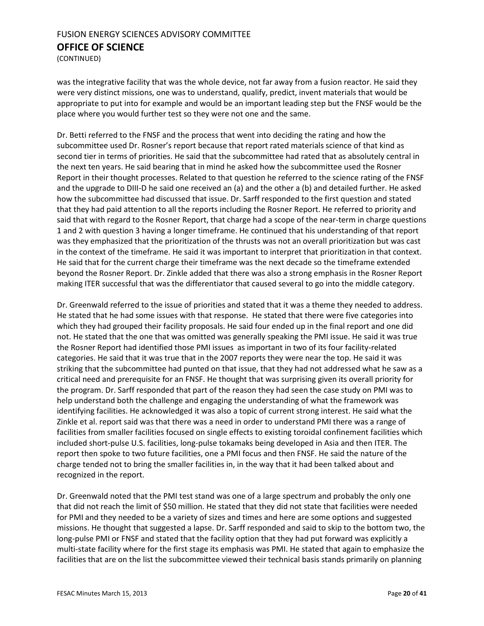(CONTINUED)

was the integrative facility that was the whole device, not far away from a fusion reactor. He said they were very distinct missions, one was to understand, qualify, predict, invent materials that would be appropriate to put into for example and would be an important leading step but the FNSF would be the place where you would further test so they were not one and the same.

Dr. Betti referred to the FNSF and the process that went into deciding the rating and how the subcommittee used Dr. Rosner's report because that report rated materials science of that kind as second tier in terms of priorities. He said that the subcommittee had rated that as absolutely central in the next ten years. He said bearing that in mind he asked how the subcommittee used the Rosner Report in their thought processes. Related to that question he referred to the science rating of the FNSF and the upgrade to DIII-D he said one received an (a) and the other a (b) and detailed further. He asked how the subcommittee had discussed that issue. Dr. Sarff responded to the first question and stated that they had paid attention to all the reports including the Rosner Report. He referred to priority and said that with regard to the Rosner Report, that charge had a scope of the near-term in charge questions 1 and 2 with question 3 having a longer timeframe. He continued that his understanding of that report was they emphasized that the prioritization of the thrusts was not an overall prioritization but was cast in the context of the timeframe. He said it was important to interpret that prioritization in that context. He said that for the current charge their timeframe was the next decade so the timeframe extended beyond the Rosner Report. Dr. Zinkle added that there was also a strong emphasis in the Rosner Report making ITER successful that was the differentiator that caused several to go into the middle category.

Dr. Greenwald referred to the issue of priorities and stated that it was a theme they needed to address. He stated that he had some issues with that response. He stated that there were five categories into which they had grouped their facility proposals. He said four ended up in the final report and one did not. He stated that the one that was omitted was generally speaking the PMI issue. He said it was true the Rosner Report had identified those PMI issues as important in two of its four facility-related categories. He said that it was true that in the 2007 reports they were near the top. He said it was striking that the subcommittee had punted on that issue, that they had not addressed what he saw as a critical need and prerequisite for an FNSF. He thought that was surprising given its overall priority for the program. Dr. Sarff responded that part of the reason they had seen the case study on PMI was to help understand both the challenge and engaging the understanding of what the framework was identifying facilities. He acknowledged it was also a topic of current strong interest. He said what the Zinkle et al. report said was that there was a need in order to understand PMI there was a range of facilities from smaller facilities focused on single effects to existing toroidal confinement facilities which included short-pulse U.S. facilities, long-pulse tokamaks being developed in Asia and then ITER. The report then spoke to two future facilities, one a PMI focus and then FNSF. He said the nature of the charge tended not to bring the smaller facilities in, in the way that it had been talked about and recognized in the report.

Dr. Greenwald noted that the PMI test stand was one of a large spectrum and probably the only one that did not reach the limit of \$50 million. He stated that they did not state that facilities were needed for PMI and they needed to be a variety of sizes and times and here are some options and suggested missions. He thought that suggested a lapse. Dr. Sarff responded and said to skip to the bottom two, the long-pulse PMI or FNSF and stated that the facility option that they had put forward was explicitly a multi-state facility where for the first stage its emphasis was PMI. He stated that again to emphasize the facilities that are on the list the subcommittee viewed their technical basis stands primarily on planning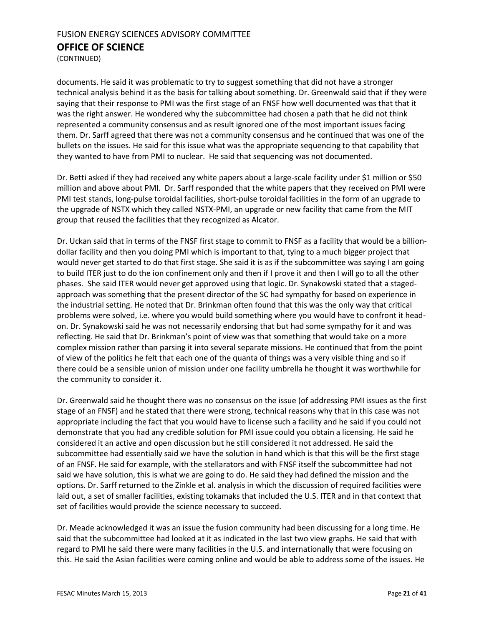(CONTINUED)

documents. He said it was problematic to try to suggest something that did not have a stronger technical analysis behind it as the basis for talking about something. Dr. Greenwald said that if they were saying that their response to PMI was the first stage of an FNSF how well documented was that that it was the right answer. He wondered why the subcommittee had chosen a path that he did not think represented a community consensus and as result ignored one of the most important issues facing them. Dr. Sarff agreed that there was not a community consensus and he continued that was one of the bullets on the issues. He said for this issue what was the appropriate sequencing to that capability that they wanted to have from PMI to nuclear. He said that sequencing was not documented.

Dr. Betti asked if they had received any white papers about a large-scale facility under \$1 million or \$50 million and above about PMI. Dr. Sarff responded that the white papers that they received on PMI were PMI test stands, long-pulse toroidal facilities, short-pulse toroidal facilities in the form of an upgrade to the upgrade of NSTX which they called NSTX-PMI, an upgrade or new facility that came from the MIT group that reused the facilities that they recognized as Alcator.

Dr. Uckan said that in terms of the FNSF first stage to commit to FNSF as a facility that would be a billiondollar facility and then you doing PMI which is important to that, tying to a much bigger project that would never get started to do that first stage. She said it is as if the subcommittee was saying I am going to build ITER just to do the ion confinement only and then if I prove it and then I will go to all the other phases. She said ITER would never get approved using that logic. Dr. Synakowski stated that a stagedapproach was something that the present director of the SC had sympathy for based on experience in the industrial setting. He noted that Dr. Brinkman often found that this was the only way that critical problems were solved, i.e. where you would build something where you would have to confront it headon. Dr. Synakowski said he was not necessarily endorsing that but had some sympathy for it and was reflecting. He said that Dr. Brinkman's point of view was that something that would take on a more complex mission rather than parsing it into several separate missions. He continued that from the point of view of the politics he felt that each one of the quanta of things was a very visible thing and so if there could be a sensible union of mission under one facility umbrella he thought it was worthwhile for the community to consider it.

Dr. Greenwald said he thought there was no consensus on the issue (of addressing PMI issues as the first stage of an FNSF) and he stated that there were strong, technical reasons why that in this case was not appropriate including the fact that you would have to license such a facility and he said if you could not demonstrate that you had any credible solution for PMI issue could you obtain a licensing. He said he considered it an active and open discussion but he still considered it not addressed. He said the subcommittee had essentially said we have the solution in hand which is that this will be the first stage of an FNSF. He said for example, with the stellarators and with FNSF itself the subcommittee had not said we have solution, this is what we are going to do. He said they had defined the mission and the options. Dr. Sarff returned to the Zinkle et al. analysis in which the discussion of required facilities were laid out, a set of smaller facilities, existing tokamaks that included the U.S. ITER and in that context that set of facilities would provide the science necessary to succeed.

Dr. Meade acknowledged it was an issue the fusion community had been discussing for a long time. He said that the subcommittee had looked at it as indicated in the last two view graphs. He said that with regard to PMI he said there were many facilities in the U.S. and internationally that were focusing on this. He said the Asian facilities were coming online and would be able to address some of the issues. He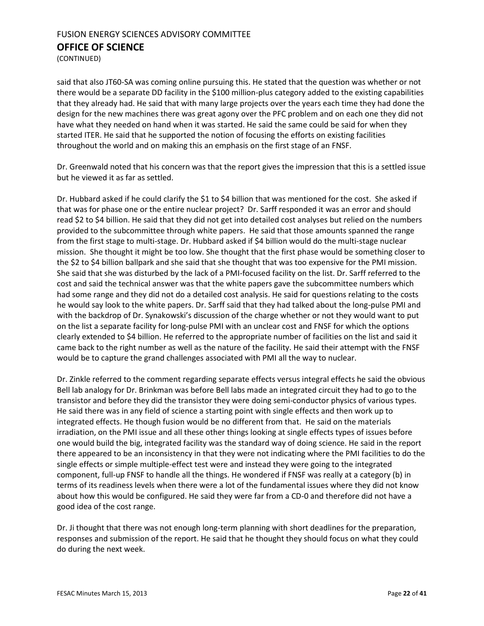(CONTINUED)

said that also JT60-SA was coming online pursuing this. He stated that the question was whether or not there would be a separate DD facility in the \$100 million-plus category added to the existing capabilities that they already had. He said that with many large projects over the years each time they had done the design for the new machines there was great agony over the PFC problem and on each one they did not have what they needed on hand when it was started. He said the same could be said for when they started ITER. He said that he supported the notion of focusing the efforts on existing facilities throughout the world and on making this an emphasis on the first stage of an FNSF.

Dr. Greenwald noted that his concern was that the report gives the impression that this is a settled issue but he viewed it as far as settled.

Dr. Hubbard asked if he could clarify the \$1 to \$4 billion that was mentioned for the cost. She asked if that was for phase one or the entire nuclear project? Dr. Sarff responded it was an error and should read \$2 to \$4 billion. He said that they did not get into detailed cost analyses but relied on the numbers provided to the subcommittee through white papers. He said that those amounts spanned the range from the first stage to multi-stage. Dr. Hubbard asked if \$4 billion would do the multi-stage nuclear mission. She thought it might be too low. She thought that the first phase would be something closer to the \$2 to \$4 billion ballpark and she said that she thought that was too expensive for the PMI mission. She said that she was disturbed by the lack of a PMI-focused facility on the list. Dr. Sarff referred to the cost and said the technical answer was that the white papers gave the subcommittee numbers which had some range and they did not do a detailed cost analysis. He said for questions relating to the costs he would say look to the white papers. Dr. Sarff said that they had talked about the long-pulse PMI and with the backdrop of Dr. Synakowski's discussion of the charge whether or not they would want to put on the list a separate facility for long-pulse PMI with an unclear cost and FNSF for which the options clearly extended to \$4 billion. He referred to the appropriate number of facilities on the list and said it came back to the right number as well as the nature of the facility. He said their attempt with the FNSF would be to capture the grand challenges associated with PMI all the way to nuclear.

Dr. Zinkle referred to the comment regarding separate effects versus integral effects he said the obvious Bell lab analogy for Dr. Brinkman was before Bell labs made an integrated circuit they had to go to the transistor and before they did the transistor they were doing semi-conductor physics of various types. He said there was in any field of science a starting point with single effects and then work up to integrated effects. He though fusion would be no different from that. He said on the materials irradiation, on the PMI issue and all these other things looking at single effects types of issues before one would build the big, integrated facility was the standard way of doing science. He said in the report there appeared to be an inconsistency in that they were not indicating where the PMI facilities to do the single effects or simple multiple-effect test were and instead they were going to the integrated component, full-up FNSF to handle all the things. He wondered if FNSF was really at a category (b) in terms of its readiness levels when there were a lot of the fundamental issues where they did not know about how this would be configured. He said they were far from a CD-0 and therefore did not have a good idea of the cost range.

Dr. Ji thought that there was not enough long-term planning with short deadlines for the preparation, responses and submission of the report. He said that he thought they should focus on what they could do during the next week.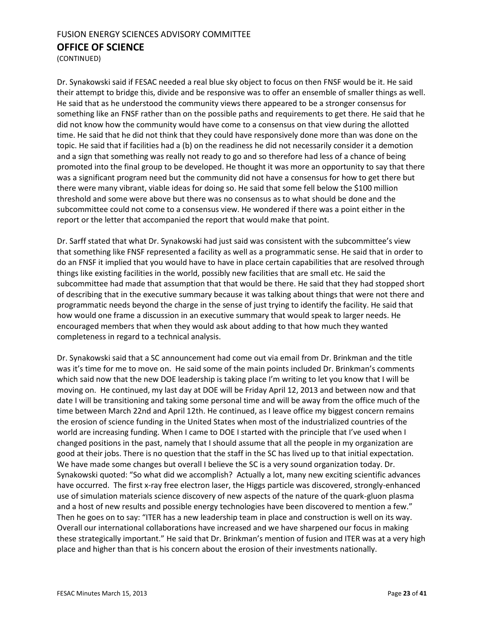(CONTINUED)

Dr. Synakowski said if FESAC needed a real blue sky object to focus on then FNSF would be it. He said their attempt to bridge this, divide and be responsive was to offer an ensemble of smaller things as well. He said that as he understood the community views there appeared to be a stronger consensus for something like an FNSF rather than on the possible paths and requirements to get there. He said that he did not know how the community would have come to a consensus on that view during the allotted time. He said that he did not think that they could have responsively done more than was done on the topic. He said that if facilities had a (b) on the readiness he did not necessarily consider it a demotion and a sign that something was really not ready to go and so therefore had less of a chance of being promoted into the final group to be developed. He thought it was more an opportunity to say that there was a significant program need but the community did not have a consensus for how to get there but there were many vibrant, viable ideas for doing so. He said that some fell below the \$100 million threshold and some were above but there was no consensus as to what should be done and the subcommittee could not come to a consensus view. He wondered if there was a point either in the report or the letter that accompanied the report that would make that point.

Dr. Sarff stated that what Dr. Synakowski had just said was consistent with the subcommittee's view that something like FNSF represented a facility as well as a programmatic sense. He said that in order to do an FNSF it implied that you would have to have in place certain capabilities that are resolved through things like existing facilities in the world, possibly new facilities that are small etc. He said the subcommittee had made that assumption that that would be there. He said that they had stopped short of describing that in the executive summary because it was talking about things that were not there and programmatic needs beyond the charge in the sense of just trying to identify the facility. He said that how would one frame a discussion in an executive summary that would speak to larger needs. He encouraged members that when they would ask about adding to that how much they wanted completeness in regard to a technical analysis.

Dr. Synakowski said that a SC announcement had come out via email from Dr. Brinkman and the title was it's time for me to move on. He said some of the main points included Dr. Brinkman's comments which said now that the new DOE leadership is taking place I'm writing to let you know that I will be moving on. He continued, my last day at DOE will be Friday April 12, 2013 and between now and that date I will be transitioning and taking some personal time and will be away from the office much of the time between March 22nd and April 12th. He continued, as I leave office my biggest concern remains the erosion of science funding in the United States when most of the industrialized countries of the world are increasing funding. When I came to DOE I started with the principle that I've used when I changed positions in the past, namely that I should assume that all the people in my organization are good at their jobs. There is no question that the staff in the SC has lived up to that initial expectation. We have made some changes but overall I believe the SC is a very sound organization today. Dr. Synakowski quoted: "So what did we accomplish? Actually a lot, many new exciting scientific advances have occurred. The first x-ray free electron laser, the Higgs particle was discovered, strongly-enhanced use of simulation materials science discovery of new aspects of the nature of the quark-gluon plasma and a host of new results and possible energy technologies have been discovered to mention a few." Then he goes on to say: "ITER has a new leadership team in place and construction is well on its way. Overall our international collaborations have increased and we have sharpened our focus in making these strategically important." He said that Dr. Brinkman's mention of fusion and ITER was at a very high place and higher than that is his concern about the erosion of their investments nationally.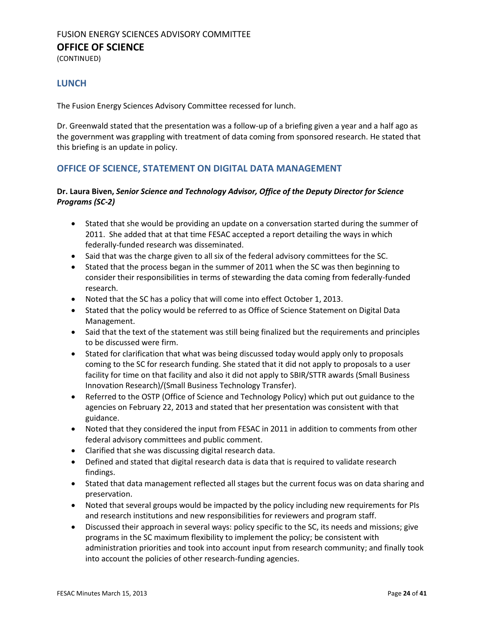(CONTINUED)

#### **LUNCH**

The Fusion Energy Sciences Advisory Committee recessed for lunch.

Dr. Greenwald stated that the presentation was a follow-up of a briefing given a year and a half ago as the government was grappling with treatment of data coming from sponsored research. He stated that this briefing is an update in policy.

#### <span id="page-23-0"></span>**OFFICE OF SCIENCE, STATEMENT ON DIGITAL DATA MANAGEMENT**

#### **Dr. Laura Biven,** *Senior Science and Technology Advisor, Office of the Deputy Director for Science Programs (SC-2)*

- Stated that she would be providing an update on a conversation started during the summer of 2011. She added that at that time FESAC accepted a report detailing the ways in which federally-funded research was disseminated.
- Said that was the charge given to all six of the federal advisory committees for the SC.
- Stated that the process began in the summer of 2011 when the SC was then beginning to consider their responsibilities in terms of stewarding the data coming from federally-funded research.
- Noted that the SC has a policy that will come into effect October 1, 2013.
- Stated that the policy would be referred to as Office of Science Statement on Digital Data Management.
- Said that the text of the statement was still being finalized but the requirements and principles to be discussed were firm.
- Stated for clarification that what was being discussed today would apply only to proposals coming to the SC for research funding. She stated that it did not apply to proposals to a user facility for time on that facility and also it did not apply to SBIR/STTR awards (Small Business Innovation Research)/(Small Business Technology Transfer).
- Referred to the OSTP (Office of Science and Technology Policy) which put out guidance to the agencies on February 22, 2013 and stated that her presentation was consistent with that guidance.
- Noted that they considered the input from FESAC in 2011 in addition to comments from other federal advisory committees and public comment.
- Clarified that she was discussing digital research data.
- Defined and stated that digital research data is data that is required to validate research findings.
- Stated that data management reflected all stages but the current focus was on data sharing and preservation.
- Noted that several groups would be impacted by the policy including new requirements for PIs and research institutions and new responsibilities for reviewers and program staff.
- Discussed their approach in several ways: policy specific to the SC, its needs and missions; give programs in the SC maximum flexibility to implement the policy; be consistent with administration priorities and took into account input from research community; and finally took into account the policies of other research-funding agencies.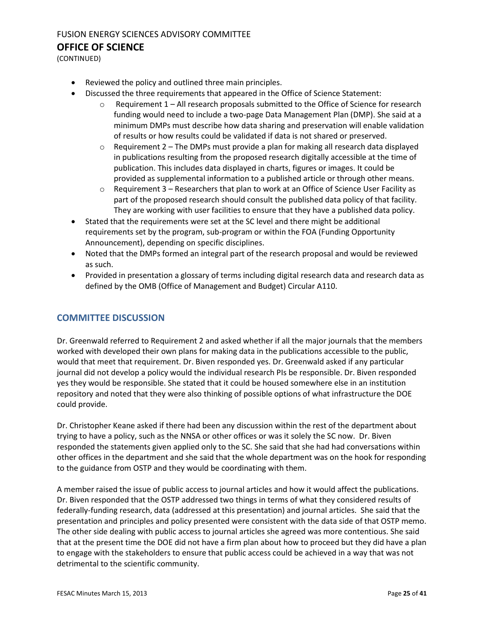(CONTINUED)

- Reviewed the policy and outlined three main principles.
- Discussed the three requirements that appeared in the Office of Science Statement:
	- $\circ$  Requirement 1 All research proposals submitted to the Office of Science for research funding would need to include a two-page Data Management Plan (DMP). She said at a minimum DMPs must describe how data sharing and preservation will enable validation of results or how results could be validated if data is not shared or preserved.
	- $\circ$  Requirement 2 The DMPs must provide a plan for making all research data displayed in publications resulting from the proposed research digitally accessible at the time of publication. This includes data displayed in charts, figures or images. It could be provided as supplemental information to a published article or through other means.
	- $\circ$  Requirement 3 Researchers that plan to work at an Office of Science User Facility as part of the proposed research should consult the published data policy of that facility. They are working with user facilities to ensure that they have a published data policy.
- Stated that the requirements were set at the SC level and there might be additional requirements set by the program, sub-program or within the FOA (Funding Opportunity Announcement), depending on specific disciplines.
- Noted that the DMPs formed an integral part of the research proposal and would be reviewed as such.
- Provided in presentation a glossary of terms including digital research data and research data as defined by the OMB (Office of Management and Budget) Circular A110.

#### **COMMITTEE DISCUSSION**

Dr. Greenwald referred to Requirement 2 and asked whether if all the major journals that the members worked with developed their own plans for making data in the publications accessible to the public, would that meet that requirement. Dr. Biven responded yes. Dr. Greenwald asked if any particular journal did not develop a policy would the individual research PIs be responsible. Dr. Biven responded yes they would be responsible. She stated that it could be housed somewhere else in an institution repository and noted that they were also thinking of possible options of what infrastructure the DOE could provide.

Dr. Christopher Keane asked if there had been any discussion within the rest of the department about trying to have a policy, such as the NNSA or other offices or was it solely the SC now. Dr. Biven responded the statements given applied only to the SC. She said that she had had conversations within other offices in the department and she said that the whole department was on the hook for responding to the guidance from OSTP and they would be coordinating with them.

A member raised the issue of public access to journal articles and how it would affect the publications. Dr. Biven responded that the OSTP addressed two things in terms of what they considered results of federally-funding research, data (addressed at this presentation) and journal articles. She said that the presentation and principles and policy presented were consistent with the data side of that OSTP memo. The other side dealing with public access to journal articles she agreed was more contentious. She said that at the present time the DOE did not have a firm plan about how to proceed but they did have a plan to engage with the stakeholders to ensure that public access could be achieved in a way that was not detrimental to the scientific community.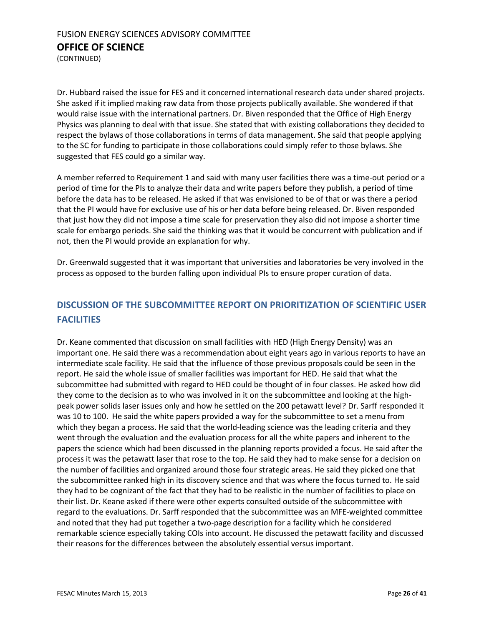(CONTINUED)

Dr. Hubbard raised the issue for FES and it concerned international research data under shared projects. She asked if it implied making raw data from those projects publically available. She wondered if that would raise issue with the international partners. Dr. Biven responded that the Office of High Energy Physics was planning to deal with that issue. She stated that with existing collaborations they decided to respect the bylaws of those collaborations in terms of data management. She said that people applying to the SC for funding to participate in those collaborations could simply refer to those bylaws. She suggested that FES could go a similar way.

A member referred to Requirement 1 and said with many user facilities there was a time-out period or a period of time for the PIs to analyze their data and write papers before they publish, a period of time before the data has to be released. He asked if that was envisioned to be of that or was there a period that the PI would have for exclusive use of his or her data before being released. Dr. Biven responded that just how they did not impose a time scale for preservation they also did not impose a shorter time scale for embargo periods. She said the thinking was that it would be concurrent with publication and if not, then the PI would provide an explanation for why.

Dr. Greenwald suggested that it was important that universities and laboratories be very involved in the process as opposed to the burden falling upon individual PIs to ensure proper curation of data.

## **DISCUSSION OF THE SUBCOMMITTEE REPORT ON PRIORITIZATION OF SCIENTIFIC USER FACILITIES**

Dr. Keane commented that discussion on small facilities with HED (High Energy Density) was an important one. He said there was a recommendation about eight years ago in various reports to have an intermediate scale facility. He said that the influence of those previous proposals could be seen in the report. He said the whole issue of smaller facilities was important for HED. He said that what the subcommittee had submitted with regard to HED could be thought of in four classes. He asked how did they come to the decision as to who was involved in it on the subcommittee and looking at the highpeak power solids laser issues only and how he settled on the 200 petawatt level? Dr. Sarff responded it was 10 to 100. He said the white papers provided a way for the subcommittee to set a menu from which they began a process. He said that the world-leading science was the leading criteria and they went through the evaluation and the evaluation process for all the white papers and inherent to the papers the science which had been discussed in the planning reports provided a focus. He said after the process it was the petawatt laser that rose to the top. He said they had to make sense for a decision on the number of facilities and organized around those four strategic areas. He said they picked one that the subcommittee ranked high in its discovery science and that was where the focus turned to. He said they had to be cognizant of the fact that they had to be realistic in the number of facilities to place on their list. Dr. Keane asked if there were other experts consulted outside of the subcommittee with regard to the evaluations. Dr. Sarff responded that the subcommittee was an MFE-weighted committee and noted that they had put together a two-page description for a facility which he considered remarkable science especially taking COIs into account. He discussed the petawatt facility and discussed their reasons for the differences between the absolutely essential versus important.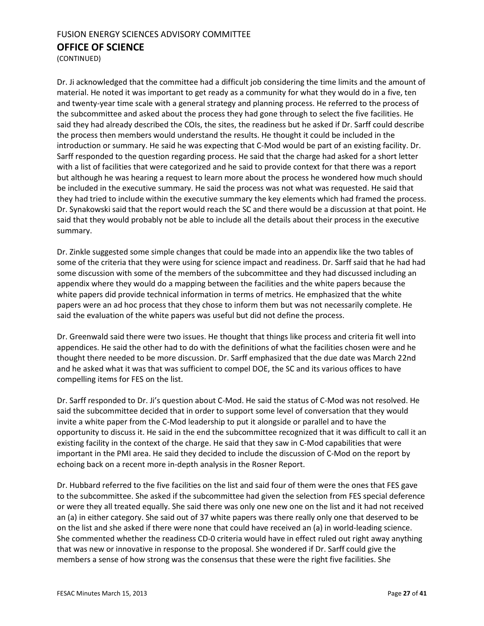(CONTINUED)

Dr. Ji acknowledged that the committee had a difficult job considering the time limits and the amount of material. He noted it was important to get ready as a community for what they would do in a five, ten and twenty-year time scale with a general strategy and planning process. He referred to the process of the subcommittee and asked about the process they had gone through to select the five facilities. He said they had already described the COIs, the sites, the readiness but he asked if Dr. Sarff could describe the process then members would understand the results. He thought it could be included in the introduction or summary. He said he was expecting that C-Mod would be part of an existing facility. Dr. Sarff responded to the question regarding process. He said that the charge had asked for a short letter with a list of facilities that were categorized and he said to provide context for that there was a report but although he was hearing a request to learn more about the process he wondered how much should be included in the executive summary. He said the process was not what was requested. He said that they had tried to include within the executive summary the key elements which had framed the process. Dr. Synakowski said that the report would reach the SC and there would be a discussion at that point. He said that they would probably not be able to include all the details about their process in the executive summary.

Dr. Zinkle suggested some simple changes that could be made into an appendix like the two tables of some of the criteria that they were using for science impact and readiness. Dr. Sarff said that he had had some discussion with some of the members of the subcommittee and they had discussed including an appendix where they would do a mapping between the facilities and the white papers because the white papers did provide technical information in terms of metrics. He emphasized that the white papers were an ad hoc process that they chose to inform them but was not necessarily complete. He said the evaluation of the white papers was useful but did not define the process.

Dr. Greenwald said there were two issues. He thought that things like process and criteria fit well into appendices. He said the other had to do with the definitions of what the facilities chosen were and he thought there needed to be more discussion. Dr. Sarff emphasized that the due date was March 22nd and he asked what it was that was sufficient to compel DOE, the SC and its various offices to have compelling items for FES on the list.

Dr. Sarff responded to Dr. Ji's question about C-Mod. He said the status of C-Mod was not resolved. He said the subcommittee decided that in order to support some level of conversation that they would invite a white paper from the C-Mod leadership to put it alongside or parallel and to have the opportunity to discuss it. He said in the end the subcommittee recognized that it was difficult to call it an existing facility in the context of the charge. He said that they saw in C-Mod capabilities that were important in the PMI area. He said they decided to include the discussion of C-Mod on the report by echoing back on a recent more in-depth analysis in the Rosner Report.

Dr. Hubbard referred to the five facilities on the list and said four of them were the ones that FES gave to the subcommittee. She asked if the subcommittee had given the selection from FES special deference or were they all treated equally. She said there was only one new one on the list and it had not received an (a) in either category. She said out of 37 white papers was there really only one that deserved to be on the list and she asked if there were none that could have received an (a) in world-leading science. She commented whether the readiness CD-0 criteria would have in effect ruled out right away anything that was new or innovative in response to the proposal. She wondered if Dr. Sarff could give the members a sense of how strong was the consensus that these were the right five facilities. She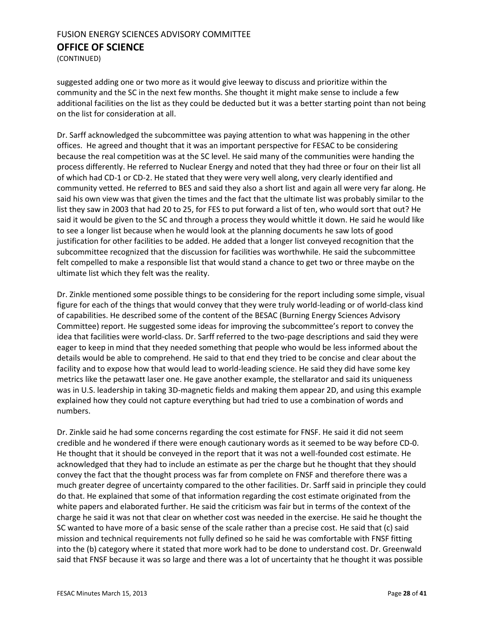(CONTINUED)

suggested adding one or two more as it would give leeway to discuss and prioritize within the community and the SC in the next few months. She thought it might make sense to include a few additional facilities on the list as they could be deducted but it was a better starting point than not being on the list for consideration at all.

Dr. Sarff acknowledged the subcommittee was paying attention to what was happening in the other offices. He agreed and thought that it was an important perspective for FESAC to be considering because the real competition was at the SC level. He said many of the communities were handing the process differently. He referred to Nuclear Energy and noted that they had three or four on their list all of which had CD-1 or CD-2. He stated that they were very well along, very clearly identified and community vetted. He referred to BES and said they also a short list and again all were very far along. He said his own view was that given the times and the fact that the ultimate list was probably similar to the list they saw in 2003 that had 20 to 25, for FES to put forward a list of ten, who would sort that out? He said it would be given to the SC and through a process they would whittle it down. He said he would like to see a longer list because when he would look at the planning documents he saw lots of good justification for other facilities to be added. He added that a longer list conveyed recognition that the subcommittee recognized that the discussion for facilities was worthwhile. He said the subcommittee felt compelled to make a responsible list that would stand a chance to get two or three maybe on the ultimate list which they felt was the reality.

Dr. Zinkle mentioned some possible things to be considering for the report including some simple, visual figure for each of the things that would convey that they were truly world-leading or of world-class kind of capabilities. He described some of the content of the BESAC (Burning Energy Sciences Advisory Committee) report. He suggested some ideas for improving the subcommittee's report to convey the idea that facilities were world-class. Dr. Sarff referred to the two-page descriptions and said they were eager to keep in mind that they needed something that people who would be less informed about the details would be able to comprehend. He said to that end they tried to be concise and clear about the facility and to expose how that would lead to world-leading science. He said they did have some key metrics like the petawatt laser one. He gave another example, the stellarator and said its uniqueness was in U.S. leadership in taking 3D-magnetic fields and making them appear 2D, and using this example explained how they could not capture everything but had tried to use a combination of words and numbers.

Dr. Zinkle said he had some concerns regarding the cost estimate for FNSF. He said it did not seem credible and he wondered if there were enough cautionary words as it seemed to be way before CD-0. He thought that it should be conveyed in the report that it was not a well-founded cost estimate. He acknowledged that they had to include an estimate as per the charge but he thought that they should convey the fact that the thought process was far from complete on FNSF and therefore there was a much greater degree of uncertainty compared to the other facilities. Dr. Sarff said in principle they could do that. He explained that some of that information regarding the cost estimate originated from the white papers and elaborated further. He said the criticism was fair but in terms of the context of the charge he said it was not that clear on whether cost was needed in the exercise. He said he thought the SC wanted to have more of a basic sense of the scale rather than a precise cost. He said that (c) said mission and technical requirements not fully defined so he said he was comfortable with FNSF fitting into the (b) category where it stated that more work had to be done to understand cost. Dr. Greenwald said that FNSF because it was so large and there was a lot of uncertainty that he thought it was possible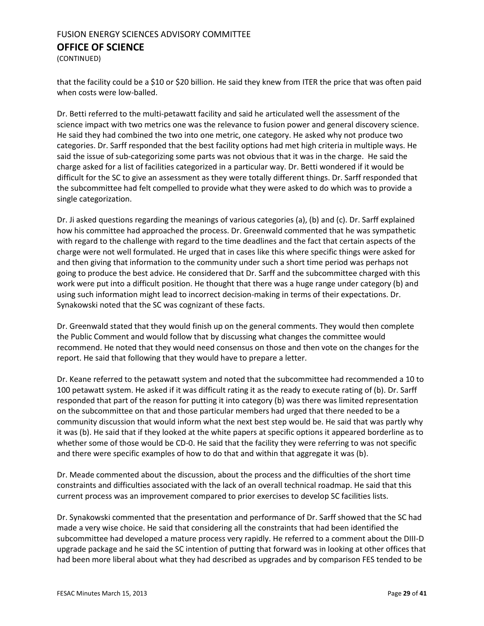(CONTINUED)

that the facility could be a \$10 or \$20 billion. He said they knew from ITER the price that was often paid when costs were low-balled.

Dr. Betti referred to the multi-petawatt facility and said he articulated well the assessment of the science impact with two metrics one was the relevance to fusion power and general discovery science. He said they had combined the two into one metric, one category. He asked why not produce two categories. Dr. Sarff responded that the best facility options had met high criteria in multiple ways. He said the issue of sub-categorizing some parts was not obvious that it was in the charge. He said the charge asked for a list of facilities categorized in a particular way. Dr. Betti wondered if it would be difficult for the SC to give an assessment as they were totally different things. Dr. Sarff responded that the subcommittee had felt compelled to provide what they were asked to do which was to provide a single categorization.

Dr. Ji asked questions regarding the meanings of various categories (a), (b) and (c). Dr. Sarff explained how his committee had approached the process. Dr. Greenwald commented that he was sympathetic with regard to the challenge with regard to the time deadlines and the fact that certain aspects of the charge were not well formulated. He urged that in cases like this where specific things were asked for and then giving that information to the community under such a short time period was perhaps not going to produce the best advice. He considered that Dr. Sarff and the subcommittee charged with this work were put into a difficult position. He thought that there was a huge range under category (b) and using such information might lead to incorrect decision-making in terms of their expectations. Dr. Synakowski noted that the SC was cognizant of these facts.

Dr. Greenwald stated that they would finish up on the general comments. They would then complete the Public Comment and would follow that by discussing what changes the committee would recommend. He noted that they would need consensus on those and then vote on the changes for the report. He said that following that they would have to prepare a letter.

Dr. Keane referred to the petawatt system and noted that the subcommittee had recommended a 10 to 100 petawatt system. He asked if it was difficult rating it as the ready to execute rating of (b). Dr. Sarff responded that part of the reason for putting it into category (b) was there was limited representation on the subcommittee on that and those particular members had urged that there needed to be a community discussion that would inform what the next best step would be. He said that was partly why it was (b). He said that if they looked at the white papers at specific options it appeared borderline as to whether some of those would be CD-0. He said that the facility they were referring to was not specific and there were specific examples of how to do that and within that aggregate it was (b).

Dr. Meade commented about the discussion, about the process and the difficulties of the short time constraints and difficulties associated with the lack of an overall technical roadmap. He said that this current process was an improvement compared to prior exercises to develop SC facilities lists.

Dr. Synakowski commented that the presentation and performance of Dr. Sarff showed that the SC had made a very wise choice. He said that considering all the constraints that had been identified the subcommittee had developed a mature process very rapidly. He referred to a comment about the DIII-D upgrade package and he said the SC intention of putting that forward was in looking at other offices that had been more liberal about what they had described as upgrades and by comparison FES tended to be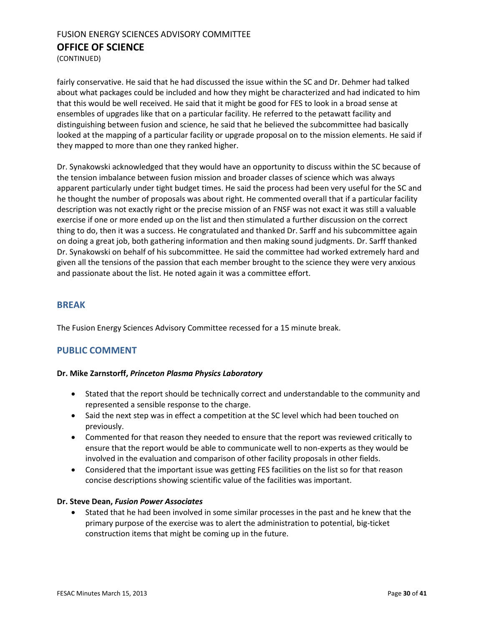(CONTINUED)

fairly conservative. He said that he had discussed the issue within the SC and Dr. Dehmer had talked about what packages could be included and how they might be characterized and had indicated to him that this would be well received. He said that it might be good for FES to look in a broad sense at ensembles of upgrades like that on a particular facility. He referred to the petawatt facility and distinguishing between fusion and science, he said that he believed the subcommittee had basically looked at the mapping of a particular facility or upgrade proposal on to the mission elements. He said if they mapped to more than one they ranked higher.

Dr. Synakowski acknowledged that they would have an opportunity to discuss within the SC because of the tension imbalance between fusion mission and broader classes of science which was always apparent particularly under tight budget times. He said the process had been very useful for the SC and he thought the number of proposals was about right. He commented overall that if a particular facility description was not exactly right or the precise mission of an FNSF was not exact it was still a valuable exercise if one or more ended up on the list and then stimulated a further discussion on the correct thing to do, then it was a success. He congratulated and thanked Dr. Sarff and his subcommittee again on doing a great job, both gathering information and then making sound judgments. Dr. Sarff thanked Dr. Synakowski on behalf of his subcommittee. He said the committee had worked extremely hard and given all the tensions of the passion that each member brought to the science they were very anxious and passionate about the list. He noted again it was a committee effort.

#### **BREAK**

The Fusion Energy Sciences Advisory Committee recessed for a 15 minute break.

#### <span id="page-29-0"></span>**PUBLIC COMMENT**

#### **Dr. Mike Zarnstorff,** *Princeton Plasma Physics Laboratory*

- Stated that the report should be technically correct and understandable to the community and represented a sensible response to the charge.
- Said the next step was in effect a competition at the SC level which had been touched on previously.
- Commented for that reason they needed to ensure that the report was reviewed critically to ensure that the report would be able to communicate well to non-experts as they would be involved in the evaluation and comparison of other facility proposals in other fields.
- Considered that the important issue was getting FES facilities on the list so for that reason concise descriptions showing scientific value of the facilities was important.

#### **Dr. Steve Dean,** *Fusion Power Associates*

 Stated that he had been involved in some similar processes in the past and he knew that the primary purpose of the exercise was to alert the administration to potential, big-ticket construction items that might be coming up in the future.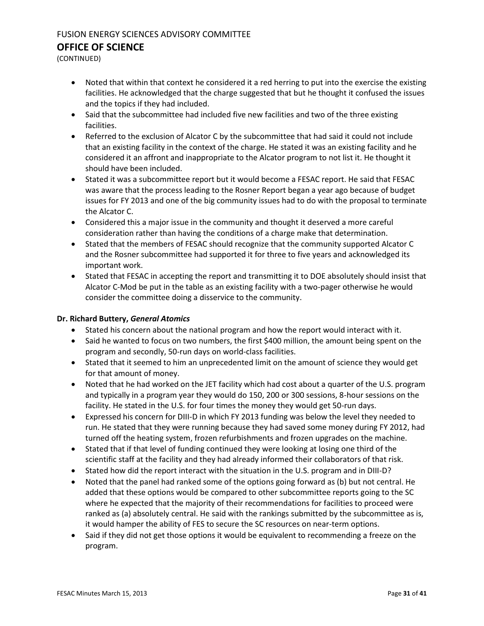(CONTINUED)

- Noted that within that context he considered it a red herring to put into the exercise the existing facilities. He acknowledged that the charge suggested that but he thought it confused the issues and the topics if they had included.
- Said that the subcommittee had included five new facilities and two of the three existing facilities.
- Referred to the exclusion of Alcator C by the subcommittee that had said it could not include that an existing facility in the context of the charge. He stated it was an existing facility and he considered it an affront and inappropriate to the Alcator program to not list it. He thought it should have been included.
- Stated it was a subcommittee report but it would become a FESAC report. He said that FESAC was aware that the process leading to the Rosner Report began a year ago because of budget issues for FY 2013 and one of the big community issues had to do with the proposal to terminate the Alcator C.
- Considered this a major issue in the community and thought it deserved a more careful consideration rather than having the conditions of a charge make that determination.
- Stated that the members of FESAC should recognize that the community supported Alcator C and the Rosner subcommittee had supported it for three to five years and acknowledged its important work.
- Stated that FESAC in accepting the report and transmitting it to DOE absolutely should insist that Alcator C-Mod be put in the table as an existing facility with a two-pager otherwise he would consider the committee doing a disservice to the community.

#### **Dr. Richard Buttery,** *General Atomics*

- Stated his concern about the national program and how the report would interact with it.
- Said he wanted to focus on two numbers, the first \$400 million, the amount being spent on the program and secondly, 50-run days on world-class facilities.
- Stated that it seemed to him an unprecedented limit on the amount of science they would get for that amount of money.
- Noted that he had worked on the JET facility which had cost about a quarter of the U.S. program and typically in a program year they would do 150, 200 or 300 sessions, 8-hour sessions on the facility. He stated in the U.S. for four times the money they would get 50-run days.
- Expressed his concern for DIII-D in which FY 2013 funding was below the level they needed to run. He stated that they were running because they had saved some money during FY 2012, had turned off the heating system, frozen refurbishments and frozen upgrades on the machine.
- Stated that if that level of funding continued they were looking at losing one third of the scientific staff at the facility and they had already informed their collaborators of that risk.
- Stated how did the report interact with the situation in the U.S. program and in DIII-D?
- Noted that the panel had ranked some of the options going forward as (b) but not central. He added that these options would be compared to other subcommittee reports going to the SC where he expected that the majority of their recommendations for facilities to proceed were ranked as (a) absolutely central. He said with the rankings submitted by the subcommittee as is, it would hamper the ability of FES to secure the SC resources on near-term options.
- Said if they did not get those options it would be equivalent to recommending a freeze on the program.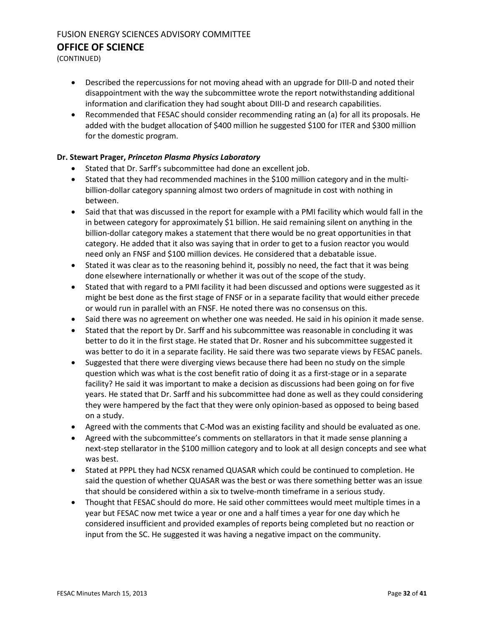(CONTINUED)

- Described the repercussions for not moving ahead with an upgrade for DIII-D and noted their disappointment with the way the subcommittee wrote the report notwithstanding additional information and clarification they had sought about DIII-D and research capabilities.
- Recommended that FESAC should consider recommending rating an (a) for all its proposals. He added with the budget allocation of \$400 million he suggested \$100 for ITER and \$300 million for the domestic program.

#### **Dr. Stewart Prager,** *Princeton Plasma Physics Laboratory*

- Stated that Dr. Sarff's subcommittee had done an excellent job.
- Stated that they had recommended machines in the \$100 million category and in the multibillion-dollar category spanning almost two orders of magnitude in cost with nothing in between.
- Said that that was discussed in the report for example with a PMI facility which would fall in the in between category for approximately \$1 billion. He said remaining silent on anything in the billion-dollar category makes a statement that there would be no great opportunities in that category. He added that it also was saying that in order to get to a fusion reactor you would need only an FNSF and \$100 million devices. He considered that a debatable issue.
- Stated it was clear as to the reasoning behind it, possibly no need, the fact that it was being done elsewhere internationally or whether it was out of the scope of the study.
- Stated that with regard to a PMI facility it had been discussed and options were suggested as it might be best done as the first stage of FNSF or in a separate facility that would either precede or would run in parallel with an FNSF. He noted there was no consensus on this.
- Said there was no agreement on whether one was needed. He said in his opinion it made sense.
- Stated that the report by Dr. Sarff and his subcommittee was reasonable in concluding it was better to do it in the first stage. He stated that Dr. Rosner and his subcommittee suggested it was better to do it in a separate facility. He said there was two separate views by FESAC panels.
- Suggested that there were diverging views because there had been no study on the simple question which was what is the cost benefit ratio of doing it as a first-stage or in a separate facility? He said it was important to make a decision as discussions had been going on for five years. He stated that Dr. Sarff and his subcommittee had done as well as they could considering they were hampered by the fact that they were only opinion-based as opposed to being based on a study.
- Agreed with the comments that C-Mod was an existing facility and should be evaluated as one.
- Agreed with the subcommittee's comments on stellarators in that it made sense planning a next-step stellarator in the \$100 million category and to look at all design concepts and see what was best.
- Stated at PPPL they had NCSX renamed QUASAR which could be continued to completion. He said the question of whether QUASAR was the best or was there something better was an issue that should be considered within a six to twelve-month timeframe in a serious study.
- Thought that FESAC should do more. He said other committees would meet multiple times in a year but FESAC now met twice a year or one and a half times a year for one day which he considered insufficient and provided examples of reports being completed but no reaction or input from the SC. He suggested it was having a negative impact on the community.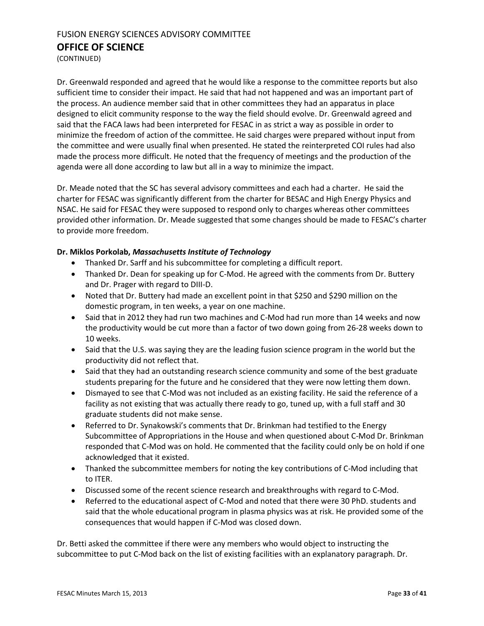(CONTINUED)

Dr. Greenwald responded and agreed that he would like a response to the committee reports but also sufficient time to consider their impact. He said that had not happened and was an important part of the process. An audience member said that in other committees they had an apparatus in place designed to elicit community response to the way the field should evolve. Dr. Greenwald agreed and said that the FACA laws had been interpreted for FESAC in as strict a way as possible in order to minimize the freedom of action of the committee. He said charges were prepared without input from the committee and were usually final when presented. He stated the reinterpreted COI rules had also made the process more difficult. He noted that the frequency of meetings and the production of the agenda were all done according to law but all in a way to minimize the impact.

Dr. Meade noted that the SC has several advisory committees and each had a charter. He said the charter for FESAC was significantly different from the charter for BESAC and High Energy Physics and NSAC. He said for FESAC they were supposed to respond only to charges whereas other committees provided other information. Dr. Meade suggested that some changes should be made to FESAC's charter to provide more freedom.

#### **Dr. Miklos Porkolab,** *Massachusetts Institute of Technology*

- Thanked Dr. Sarff and his subcommittee for completing a difficult report.
- Thanked Dr. Dean for speaking up for C-Mod. He agreed with the comments from Dr. Buttery and Dr. Prager with regard to DIII-D.
- Noted that Dr. Buttery had made an excellent point in that \$250 and \$290 million on the domestic program, in ten weeks, a year on one machine.
- Said that in 2012 they had run two machines and C-Mod had run more than 14 weeks and now the productivity would be cut more than a factor of two down going from 26-28 weeks down to 10 weeks.
- Said that the U.S. was saying they are the leading fusion science program in the world but the productivity did not reflect that.
- Said that they had an outstanding research science community and some of the best graduate students preparing for the future and he considered that they were now letting them down.
- Dismayed to see that C-Mod was not included as an existing facility. He said the reference of a facility as not existing that was actually there ready to go, tuned up, with a full staff and 30 graduate students did not make sense.
- Referred to Dr. Synakowski's comments that Dr. Brinkman had testified to the Energy Subcommittee of Appropriations in the House and when questioned about C-Mod Dr. Brinkman responded that C-Mod was on hold. He commented that the facility could only be on hold if one acknowledged that it existed.
- Thanked the subcommittee members for noting the key contributions of C-Mod including that to ITER.
- Discussed some of the recent science research and breakthroughs with regard to C-Mod.
- Referred to the educational aspect of C-Mod and noted that there were 30 PhD. students and said that the whole educational program in plasma physics was at risk. He provided some of the consequences that would happen if C-Mod was closed down.

Dr. Betti asked the committee if there were any members who would object to instructing the subcommittee to put C-Mod back on the list of existing facilities with an explanatory paragraph. Dr.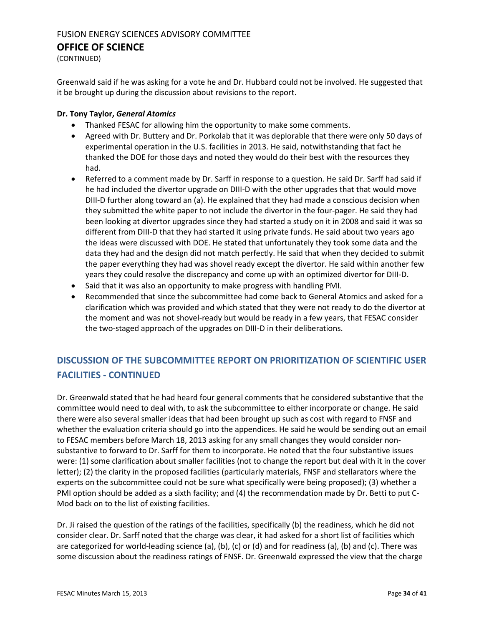(CONTINUED)

Greenwald said if he was asking for a vote he and Dr. Hubbard could not be involved. He suggested that it be brought up during the discussion about revisions to the report.

#### **Dr. Tony Taylor,** *General Atomics*

- Thanked FESAC for allowing him the opportunity to make some comments.
- Agreed with Dr. Buttery and Dr. Porkolab that it was deplorable that there were only 50 days of experimental operation in the U.S. facilities in 2013. He said, notwithstanding that fact he thanked the DOE for those days and noted they would do their best with the resources they had.
- Referred to a comment made by Dr. Sarff in response to a question. He said Dr. Sarff had said if he had included the divertor upgrade on DIII-D with the other upgrades that that would move DIII-D further along toward an (a). He explained that they had made a conscious decision when they submitted the white paper to not include the divertor in the four-pager. He said they had been looking at divertor upgrades since they had started a study on it in 2008 and said it was so different from DIII-D that they had started it using private funds. He said about two years ago the ideas were discussed with DOE. He stated that unfortunately they took some data and the data they had and the design did not match perfectly. He said that when they decided to submit the paper everything they had was shovel ready except the divertor. He said within another few years they could resolve the discrepancy and come up with an optimized divertor for DIII-D.
- Said that it was also an opportunity to make progress with handling PMI.
- Recommended that since the subcommittee had come back to General Atomics and asked for a clarification which was provided and which stated that they were not ready to do the divertor at the moment and was not shovel-ready but would be ready in a few years, that FESAC consider the two-staged approach of the upgrades on DIII-D in their deliberations.

## <span id="page-33-0"></span>**DISCUSSION OF THE SUBCOMMITTEE REPORT ON PRIORITIZATION OF SCIENTIFIC USER FACILITIES - CONTINUED**

Dr. Greenwald stated that he had heard four general comments that he considered substantive that the committee would need to deal with, to ask the subcommittee to either incorporate or change. He said there were also several smaller ideas that had been brought up such as cost with regard to FNSF and whether the evaluation criteria should go into the appendices. He said he would be sending out an email to FESAC members before March 18, 2013 asking for any small changes they would consider nonsubstantive to forward to Dr. Sarff for them to incorporate. He noted that the four substantive issues were: (1) some clarification about smaller facilities (not to change the report but deal with it in the cover letter); (2) the clarity in the proposed facilities (particularly materials, FNSF and stellarators where the experts on the subcommittee could not be sure what specifically were being proposed); (3) whether a PMI option should be added as a sixth facility; and (4) the recommendation made by Dr. Betti to put C-Mod back on to the list of existing facilities.

Dr. Ji raised the question of the ratings of the facilities, specifically (b) the readiness, which he did not consider clear. Dr. Sarff noted that the charge was clear, it had asked for a short list of facilities which are categorized for world-leading science (a), (b), (c) or (d) and for readiness (a), (b) and (c). There was some discussion about the readiness ratings of FNSF. Dr. Greenwald expressed the view that the charge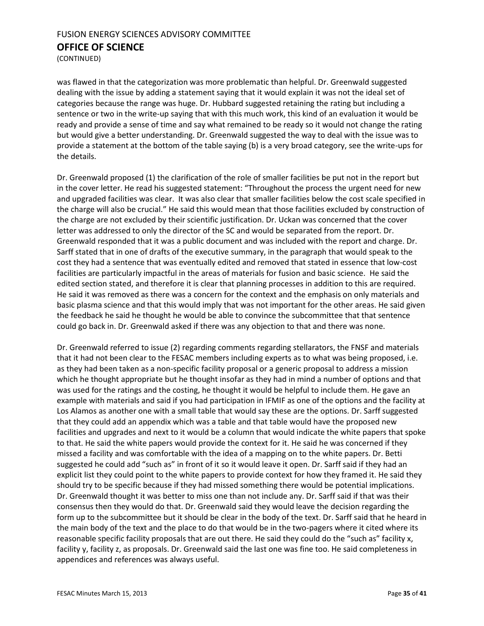(CONTINUED)

was flawed in that the categorization was more problematic than helpful. Dr. Greenwald suggested dealing with the issue by adding a statement saying that it would explain it was not the ideal set of categories because the range was huge. Dr. Hubbard suggested retaining the rating but including a sentence or two in the write-up saying that with this much work, this kind of an evaluation it would be ready and provide a sense of time and say what remained to be ready so it would not change the rating but would give a better understanding. Dr. Greenwald suggested the way to deal with the issue was to provide a statement at the bottom of the table saying (b) is a very broad category, see the write-ups for the details.

Dr. Greenwald proposed (1) the clarification of the role of smaller facilities be put not in the report but in the cover letter. He read his suggested statement: "Throughout the process the urgent need for new and upgraded facilities was clear. It was also clear that smaller facilities below the cost scale specified in the charge will also be crucial." He said this would mean that those facilities excluded by construction of the charge are not excluded by their scientific justification. Dr. Uckan was concerned that the cover letter was addressed to only the director of the SC and would be separated from the report. Dr. Greenwald responded that it was a public document and was included with the report and charge. Dr. Sarff stated that in one of drafts of the executive summary, in the paragraph that would speak to the cost they had a sentence that was eventually edited and removed that stated in essence that low-cost facilities are particularly impactful in the areas of materials for fusion and basic science. He said the edited section stated, and therefore it is clear that planning processes in addition to this are required. He said it was removed as there was a concern for the context and the emphasis on only materials and basic plasma science and that this would imply that was not important for the other areas. He said given the feedback he said he thought he would be able to convince the subcommittee that that sentence could go back in. Dr. Greenwald asked if there was any objection to that and there was none.

Dr. Greenwald referred to issue (2) regarding comments regarding stellarators, the FNSF and materials that it had not been clear to the FESAC members including experts as to what was being proposed, i.e. as they had been taken as a non-specific facility proposal or a generic proposal to address a mission which he thought appropriate but he thought insofar as they had in mind a number of options and that was used for the ratings and the costing, he thought it would be helpful to include them. He gave an example with materials and said if you had participation in IFMIF as one of the options and the facility at Los Alamos as another one with a small table that would say these are the options. Dr. Sarff suggested that they could add an appendix which was a table and that table would have the proposed new facilities and upgrades and next to it would be a column that would indicate the white papers that spoke to that. He said the white papers would provide the context for it. He said he was concerned if they missed a facility and was comfortable with the idea of a mapping on to the white papers. Dr. Betti suggested he could add "such as" in front of it so it would leave it open. Dr. Sarff said if they had an explicit list they could point to the white papers to provide context for how they framed it. He said they should try to be specific because if they had missed something there would be potential implications. Dr. Greenwald thought it was better to miss one than not include any. Dr. Sarff said if that was their consensus then they would do that. Dr. Greenwald said they would leave the decision regarding the form up to the subcommittee but it should be clear in the body of the text. Dr. Sarff said that he heard in the main body of the text and the place to do that would be in the two-pagers where it cited where its reasonable specific facility proposals that are out there. He said they could do the "such as" facility x, facility y, facility z, as proposals. Dr. Greenwald said the last one was fine too. He said completeness in appendices and references was always useful.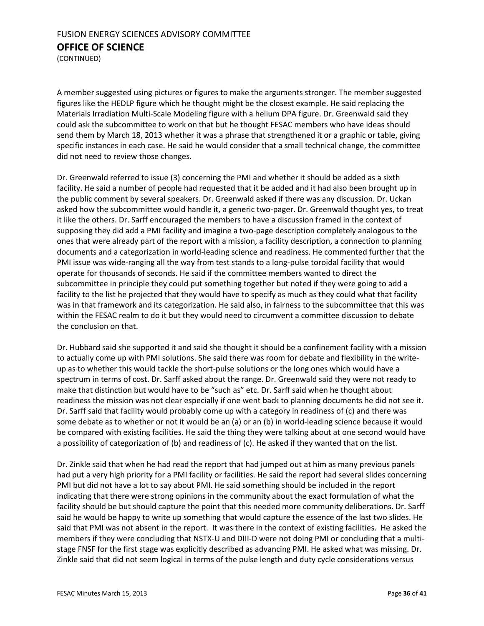(CONTINUED)

A member suggested using pictures or figures to make the arguments stronger. The member suggested figures like the HEDLP figure which he thought might be the closest example. He said replacing the Materials Irradiation Multi-Scale Modeling figure with a helium DPA figure. Dr. Greenwald said they could ask the subcommittee to work on that but he thought FESAC members who have ideas should send them by March 18, 2013 whether it was a phrase that strengthened it or a graphic or table, giving specific instances in each case. He said he would consider that a small technical change, the committee did not need to review those changes.

Dr. Greenwald referred to issue (3) concerning the PMI and whether it should be added as a sixth facility. He said a number of people had requested that it be added and it had also been brought up in the public comment by several speakers. Dr. Greenwald asked if there was any discussion. Dr. Uckan asked how the subcommittee would handle it, a generic two-pager. Dr. Greenwald thought yes, to treat it like the others. Dr. Sarff encouraged the members to have a discussion framed in the context of supposing they did add a PMI facility and imagine a two-page description completely analogous to the ones that were already part of the report with a mission, a facility description, a connection to planning documents and a categorization in world-leading science and readiness. He commented further that the PMI issue was wide-ranging all the way from test stands to a long-pulse toroidal facility that would operate for thousands of seconds. He said if the committee members wanted to direct the subcommittee in principle they could put something together but noted if they were going to add a facility to the list he projected that they would have to specify as much as they could what that facility was in that framework and its categorization. He said also, in fairness to the subcommittee that this was within the FESAC realm to do it but they would need to circumvent a committee discussion to debate the conclusion on that.

Dr. Hubbard said she supported it and said she thought it should be a confinement facility with a mission to actually come up with PMI solutions. She said there was room for debate and flexibility in the writeup as to whether this would tackle the short-pulse solutions or the long ones which would have a spectrum in terms of cost. Dr. Sarff asked about the range. Dr. Greenwald said they were not ready to make that distinction but would have to be "such as" etc. Dr. Sarff said when he thought about readiness the mission was not clear especially if one went back to planning documents he did not see it. Dr. Sarff said that facility would probably come up with a category in readiness of (c) and there was some debate as to whether or not it would be an (a) or an (b) in world-leading science because it would be compared with existing facilities. He said the thing they were talking about at one second would have a possibility of categorization of (b) and readiness of (c). He asked if they wanted that on the list.

Dr. Zinkle said that when he had read the report that had jumped out at him as many previous panels had put a very high priority for a PMI facility or facilities. He said the report had several slides concerning PMI but did not have a lot to say about PMI. He said something should be included in the report indicating that there were strong opinions in the community about the exact formulation of what the facility should be but should capture the point that this needed more community deliberations. Dr. Sarff said he would be happy to write up something that would capture the essence of the last two slides. He said that PMI was not absent in the report. It was there in the context of existing facilities. He asked the members if they were concluding that NSTX-U and DIII-D were not doing PMI or concluding that a multistage FNSF for the first stage was explicitly described as advancing PMI. He asked what was missing. Dr. Zinkle said that did not seem logical in terms of the pulse length and duty cycle considerations versus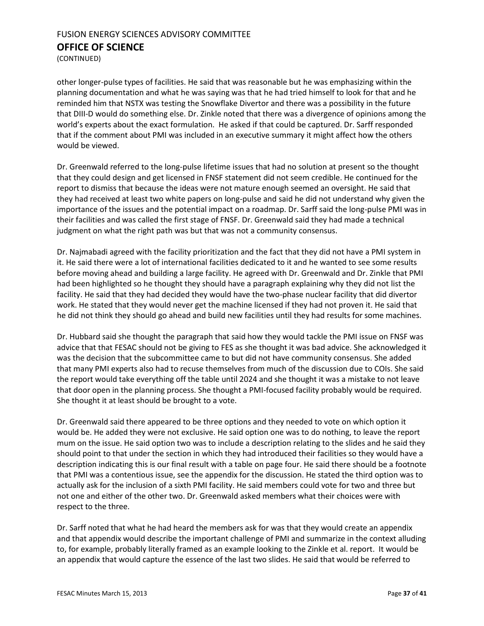(CONTINUED)

other longer-pulse types of facilities. He said that was reasonable but he was emphasizing within the planning documentation and what he was saying was that he had tried himself to look for that and he reminded him that NSTX was testing the Snowflake Divertor and there was a possibility in the future that DIII-D would do something else. Dr. Zinkle noted that there was a divergence of opinions among the world's experts about the exact formulation. He asked if that could be captured. Dr. Sarff responded that if the comment about PMI was included in an executive summary it might affect how the others would be viewed.

Dr. Greenwald referred to the long-pulse lifetime issues that had no solution at present so the thought that they could design and get licensed in FNSF statement did not seem credible. He continued for the report to dismiss that because the ideas were not mature enough seemed an oversight. He said that they had received at least two white papers on long-pulse and said he did not understand why given the importance of the issues and the potential impact on a roadmap. Dr. Sarff said the long-pulse PMI was in their facilities and was called the first stage of FNSF. Dr. Greenwald said they had made a technical judgment on what the right path was but that was not a community consensus.

Dr. Najmabadi agreed with the facility prioritization and the fact that they did not have a PMI system in it. He said there were a lot of international facilities dedicated to it and he wanted to see some results before moving ahead and building a large facility. He agreed with Dr. Greenwald and Dr. Zinkle that PMI had been highlighted so he thought they should have a paragraph explaining why they did not list the facility. He said that they had decided they would have the two-phase nuclear facility that did divertor work. He stated that they would never get the machine licensed if they had not proven it. He said that he did not think they should go ahead and build new facilities until they had results for some machines.

Dr. Hubbard said she thought the paragraph that said how they would tackle the PMI issue on FNSF was advice that that FESAC should not be giving to FES as she thought it was bad advice. She acknowledged it was the decision that the subcommittee came to but did not have community consensus. She added that many PMI experts also had to recuse themselves from much of the discussion due to COIs. She said the report would take everything off the table until 2024 and she thought it was a mistake to not leave that door open in the planning process. She thought a PMI-focused facility probably would be required. She thought it at least should be brought to a vote.

Dr. Greenwald said there appeared to be three options and they needed to vote on which option it would be. He added they were not exclusive. He said option one was to do nothing, to leave the report mum on the issue. He said option two was to include a description relating to the slides and he said they should point to that under the section in which they had introduced their facilities so they would have a description indicating this is our final result with a table on page four. He said there should be a footnote that PMI was a contentious issue, see the appendix for the discussion. He stated the third option was to actually ask for the inclusion of a sixth PMI facility. He said members could vote for two and three but not one and either of the other two. Dr. Greenwald asked members what their choices were with respect to the three.

Dr. Sarff noted that what he had heard the members ask for was that they would create an appendix and that appendix would describe the important challenge of PMI and summarize in the context alluding to, for example, probably literally framed as an example looking to the Zinkle et al. report. It would be an appendix that would capture the essence of the last two slides. He said that would be referred to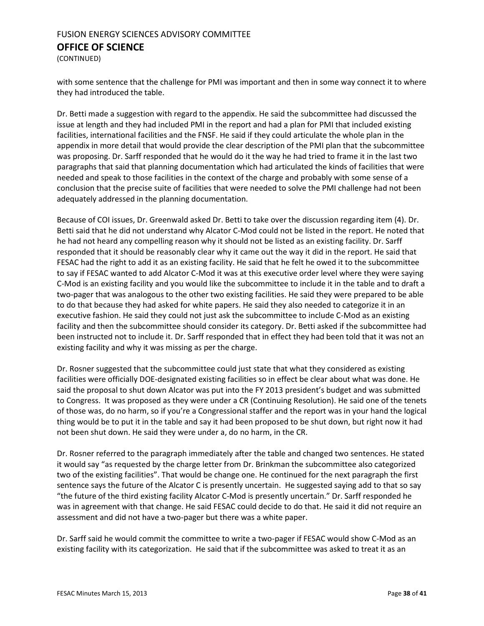(CONTINUED)

with some sentence that the challenge for PMI was important and then in some way connect it to where they had introduced the table.

Dr. Betti made a suggestion with regard to the appendix. He said the subcommittee had discussed the issue at length and they had included PMI in the report and had a plan for PMI that included existing facilities, international facilities and the FNSF. He said if they could articulate the whole plan in the appendix in more detail that would provide the clear description of the PMI plan that the subcommittee was proposing. Dr. Sarff responded that he would do it the way he had tried to frame it in the last two paragraphs that said that planning documentation which had articulated the kinds of facilities that were needed and speak to those facilities in the context of the charge and probably with some sense of a conclusion that the precise suite of facilities that were needed to solve the PMI challenge had not been adequately addressed in the planning documentation.

Because of COI issues, Dr. Greenwald asked Dr. Betti to take over the discussion regarding item (4). Dr. Betti said that he did not understand why Alcator C-Mod could not be listed in the report. He noted that he had not heard any compelling reason why it should not be listed as an existing facility. Dr. Sarff responded that it should be reasonably clear why it came out the way it did in the report. He said that FESAC had the right to add it as an existing facility. He said that he felt he owed it to the subcommittee to say if FESAC wanted to add Alcator C-Mod it was at this executive order level where they were saying C-Mod is an existing facility and you would like the subcommittee to include it in the table and to draft a two-pager that was analogous to the other two existing facilities. He said they were prepared to be able to do that because they had asked for white papers. He said they also needed to categorize it in an executive fashion. He said they could not just ask the subcommittee to include C-Mod as an existing facility and then the subcommittee should consider its category. Dr. Betti asked if the subcommittee had been instructed not to include it. Dr. Sarff responded that in effect they had been told that it was not an existing facility and why it was missing as per the charge.

Dr. Rosner suggested that the subcommittee could just state that what they considered as existing facilities were officially DOE-designated existing facilities so in effect be clear about what was done. He said the proposal to shut down Alcator was put into the FY 2013 president's budget and was submitted to Congress. It was proposed as they were under a CR (Continuing Resolution). He said one of the tenets of those was, do no harm, so if you're a Congressional staffer and the report was in your hand the logical thing would be to put it in the table and say it had been proposed to be shut down, but right now it had not been shut down. He said they were under a, do no harm, in the CR.

Dr. Rosner referred to the paragraph immediately after the table and changed two sentences. He stated it would say "as requested by the charge letter from Dr. Brinkman the subcommittee also categorized two of the existing facilities". That would be change one. He continued for the next paragraph the first sentence says the future of the Alcator C is presently uncertain. He suggested saying add to that so say "the future of the third existing facility Alcator C-Mod is presently uncertain." Dr. Sarff responded he was in agreement with that change. He said FESAC could decide to do that. He said it did not require an assessment and did not have a two-pager but there was a white paper.

Dr. Sarff said he would commit the committee to write a two-pager if FESAC would show C-Mod as an existing facility with its categorization. He said that if the subcommittee was asked to treat it as an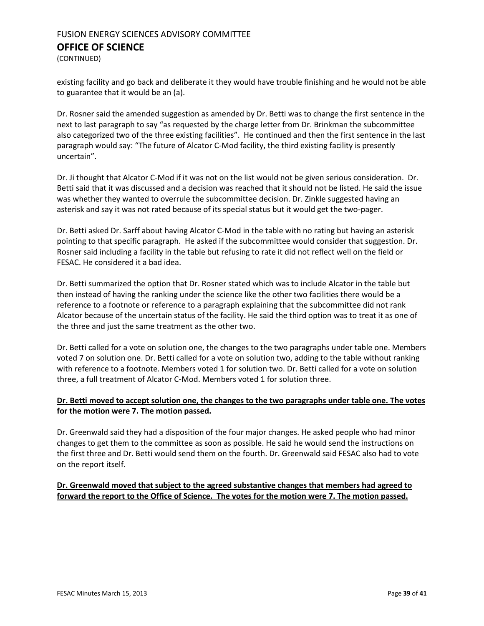(CONTINUED)

existing facility and go back and deliberate it they would have trouble finishing and he would not be able to guarantee that it would be an (a).

Dr. Rosner said the amended suggestion as amended by Dr. Betti was to change the first sentence in the next to last paragraph to say "as requested by the charge letter from Dr. Brinkman the subcommittee also categorized two of the three existing facilities". He continued and then the first sentence in the last paragraph would say: "The future of Alcator C-Mod facility, the third existing facility is presently uncertain".

Dr. Ji thought that Alcator C-Mod if it was not on the list would not be given serious consideration. Dr. Betti said that it was discussed and a decision was reached that it should not be listed. He said the issue was whether they wanted to overrule the subcommittee decision. Dr. Zinkle suggested having an asterisk and say it was not rated because of its special status but it would get the two-pager.

Dr. Betti asked Dr. Sarff about having Alcator C-Mod in the table with no rating but having an asterisk pointing to that specific paragraph. He asked if the subcommittee would consider that suggestion. Dr. Rosner said including a facility in the table but refusing to rate it did not reflect well on the field or FESAC. He considered it a bad idea.

Dr. Betti summarized the option that Dr. Rosner stated which was to include Alcator in the table but then instead of having the ranking under the science like the other two facilities there would be a reference to a footnote or reference to a paragraph explaining that the subcommittee did not rank Alcator because of the uncertain status of the facility. He said the third option was to treat it as one of the three and just the same treatment as the other two.

Dr. Betti called for a vote on solution one, the changes to the two paragraphs under table one. Members voted 7 on solution one. Dr. Betti called for a vote on solution two, adding to the table without ranking with reference to a footnote. Members voted 1 for solution two. Dr. Betti called for a vote on solution three, a full treatment of Alcator C-Mod. Members voted 1 for solution three.

#### **Dr. Betti moved to accept solution one, the changes to the two paragraphs under table one. The votes for the motion were 7. The motion passed.**

Dr. Greenwald said they had a disposition of the four major changes. He asked people who had minor changes to get them to the committee as soon as possible. He said he would send the instructions on the first three and Dr. Betti would send them on the fourth. Dr. Greenwald said FESAC also had to vote on the report itself.

#### **Dr. Greenwald moved that subject to the agreed substantive changes that members had agreed to forward the report to the Office of Science. The votes for the motion were 7. The motion passed.**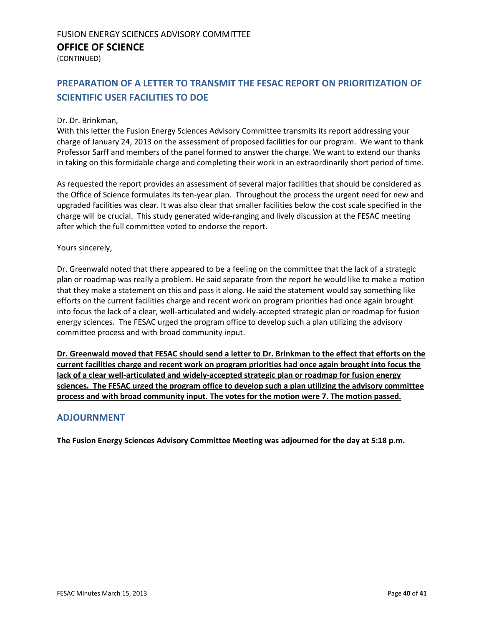(CONTINUED)

## <span id="page-39-0"></span>**PREPARATION OF A LETTER TO TRANSMIT THE FESAC REPORT ON PRIORITIZATION OF SCIENTIFIC USER FACILITIES TO DOE**

#### Dr. Dr. Brinkman,

With this letter the Fusion Energy Sciences Advisory Committee transmits its report addressing your charge of January 24, 2013 on the assessment of proposed facilities for our program. We want to thank Professor Sarff and members of the panel formed to answer the charge. We want to extend our thanks in taking on this formidable charge and completing their work in an extraordinarily short period of time.

As requested the report provides an assessment of several major facilities that should be considered as the Office of Science formulates its ten-year plan. Throughout the process the urgent need for new and upgraded facilities was clear. It was also clear that smaller facilities below the cost scale specified in the charge will be crucial. This study generated wide-ranging and lively discussion at the FESAC meeting after which the full committee voted to endorse the report.

#### Yours sincerely,

Dr. Greenwald noted that there appeared to be a feeling on the committee that the lack of a strategic plan or roadmap was really a problem. He said separate from the report he would like to make a motion that they make a statement on this and pass it along. He said the statement would say something like efforts on the current facilities charge and recent work on program priorities had once again brought into focus the lack of a clear, well-articulated and widely-accepted strategic plan or roadmap for fusion energy sciences. The FESAC urged the program office to develop such a plan utilizing the advisory committee process and with broad community input.

**Dr. Greenwald moved that FESAC should send a letter to Dr. Brinkman to the effect that efforts on the current facilities charge and recent work on program priorities had once again brought into focus the lack of a clear well-articulated and widely-accepted strategic plan or roadmap for fusion energy sciences. The FESAC urged the program office to develop such a plan utilizing the advisory committee process and with broad community input. The votes for the motion were 7. The motion passed.**

#### <span id="page-39-1"></span>**ADJOURNMENT**

**The Fusion Energy Sciences Advisory Committee Meeting was adjourned for the day at 5:18 p.m.**